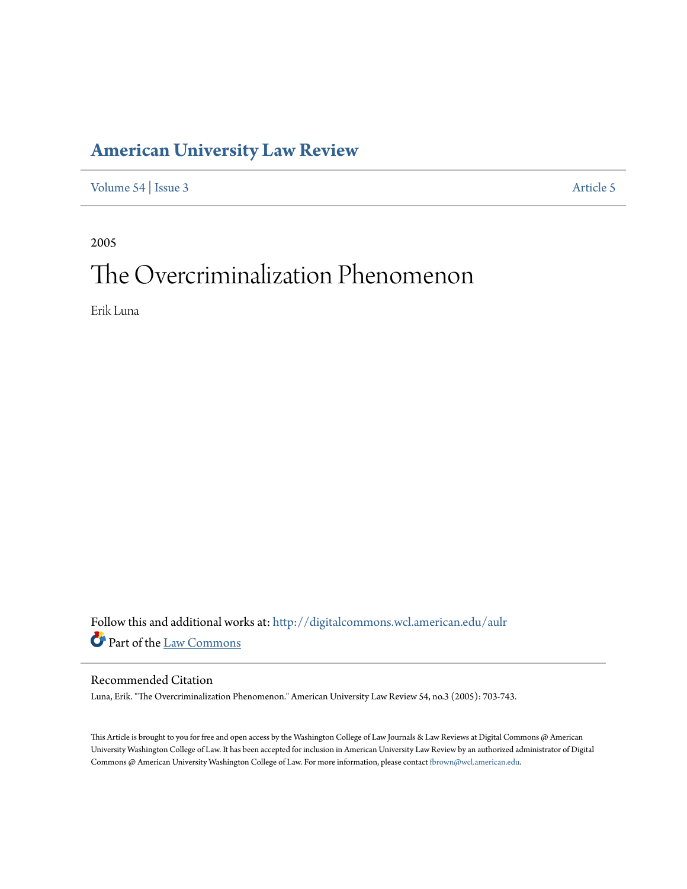## **[American University Law Review](http://digitalcommons.wcl.american.edu/aulr?utm_source=digitalcommons.wcl.american.edu%2Faulr%2Fvol54%2Fiss3%2F5&utm_medium=PDF&utm_campaign=PDFCoverPages)**

[Volume 54](http://digitalcommons.wcl.american.edu/aulr/vol54?utm_source=digitalcommons.wcl.american.edu%2Faulr%2Fvol54%2Fiss3%2F5&utm_medium=PDF&utm_campaign=PDFCoverPages) | [Issue 3](http://digitalcommons.wcl.american.edu/aulr/vol54/iss3?utm_source=digitalcommons.wcl.american.edu%2Faulr%2Fvol54%2Fiss3%2F5&utm_medium=PDF&utm_campaign=PDFCoverPages) [Article 5](http://digitalcommons.wcl.american.edu/aulr/vol54/iss3/5?utm_source=digitalcommons.wcl.american.edu%2Faulr%2Fvol54%2Fiss3%2F5&utm_medium=PDF&utm_campaign=PDFCoverPages)

2005

# The Overcriminalization Phenomenon

Erik Luna

Follow this and additional works at: [http://digitalcommons.wcl.american.edu/aulr](http://digitalcommons.wcl.american.edu/aulr?utm_source=digitalcommons.wcl.american.edu%2Faulr%2Fvol54%2Fiss3%2F5&utm_medium=PDF&utm_campaign=PDFCoverPages) Part of the [Law Commons](http://network.bepress.com/hgg/discipline/578?utm_source=digitalcommons.wcl.american.edu%2Faulr%2Fvol54%2Fiss3%2F5&utm_medium=PDF&utm_campaign=PDFCoverPages)

#### Recommended Citation

Luna, Erik. "The Overcriminalization Phenomenon." American University Law Review 54, no.3 (2005): 703-743.

This Article is brought to you for free and open access by the Washington College of Law Journals & Law Reviews at Digital Commons @ American University Washington College of Law. It has been accepted for inclusion in American University Law Review by an authorized administrator of Digital Commons @ American University Washington College of Law. For more information, please contact [fbrown@wcl.american.edu](mailto:fbrown@wcl.american.edu).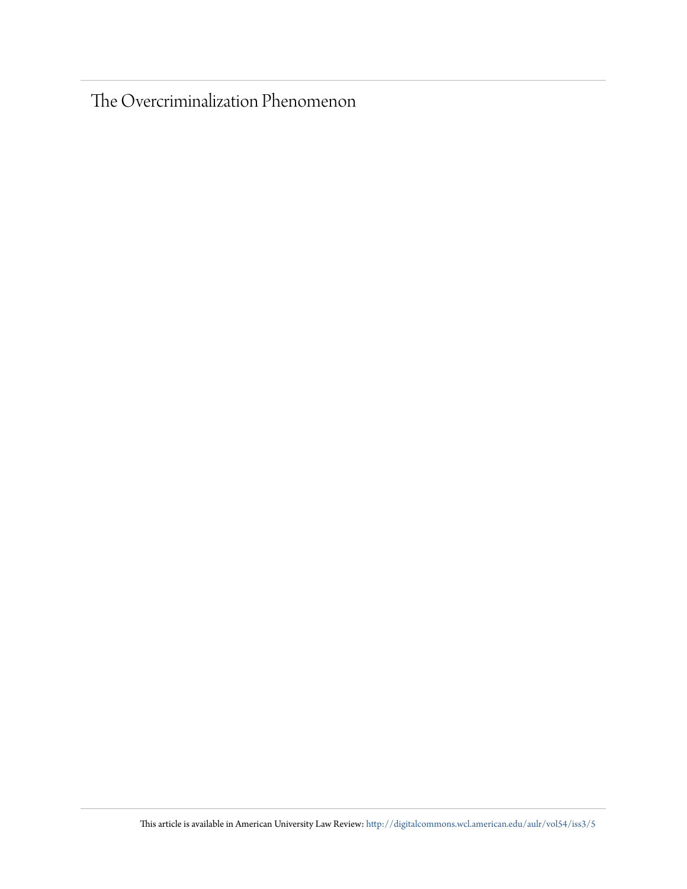The Overcriminalization Phenomenon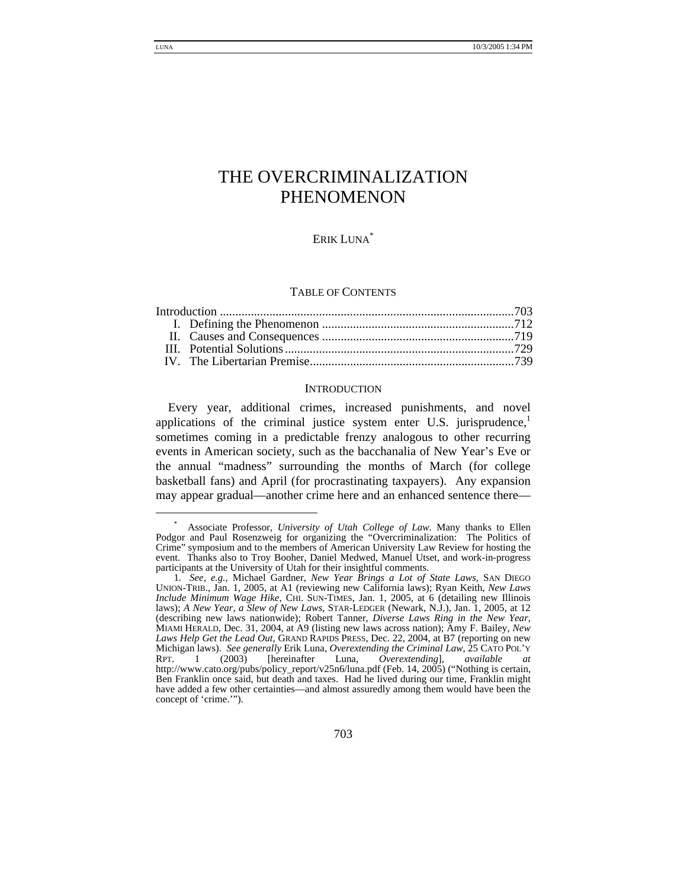#### ERIK LUNA<sup>\*</sup>

#### TABLE OF CONTENTS

#### **INTRODUCTION**

Every year, additional crimes, increased punishments, and novel applications of the criminal justice system enter U.S. jurisprudence, $\frac{1}{1}$ sometimes coming in a predictable frenzy analogous to other recurring events in American society, such as the bacchanalia of New Year's Eve or the annual "madness" surrounding the months of March (for college basketball fans) and April (for procrastinating taxpayers). Any expansion may appear gradual—another crime here and an enhanced sentence there—

 <sup>\*</sup> Associate Professor, *University of Utah College of Law*. Many thanks to Ellen Podgor and Paul Rosenzweig for organizing the "Overcriminalization: The Politics of Crime" symposium and to the members of American University Law Review for hosting the event. Thanks also to Troy Booher, Daniel Medwed, Manuel Utset, and work-in-progress participants at the University of Utah for their insightful comments.

<sup>1</sup>*. See, e.g.*, Michael Gardner, *New Year Brings a Lot of State Laws*, SAN DIEGO UNION-TRIB., Jan. 1, 2005, at A1 (reviewing new California laws); Ryan Keith, *New Laws Include Minimum Wage Hike*, CHI. SUN-TIMES, Jan. 1, 2005, at 6 (detailing new Illinois laws); *A New Year, a Slew of New Laws*, STAR-LEDGER (Newark, N.J.), Jan. 1, 2005, at 12 (describing new laws nationwide); Robert Tanner, *Diverse Laws Ring in the New Year*, MIAMI HERALD, Dec. 31, 2004, at A9 (listing new laws across nation); Amy F. Bailey, *New Laws Help Get the Lead Out*, GRAND RAPIDS PRESS, Dec. 22, 2004, at B7 (reporting on new Michigan laws). *See generally* Erik Luna, *Overextending the Criminal Law*, 25 CATO POL'Y RPT. 1 (2003) [hereinafter Luna, *Overextending*], *available at*  http://www.cato.org/pubs/policy\_report/v25n6/luna.pdf (Feb. 14, 2005) ("Nothing is certain, Ben Franklin once said, but death and taxes. Had he lived during our time, Franklin might have added a few other certainties—and almost assuredly among them would have been the concept of 'crime.'").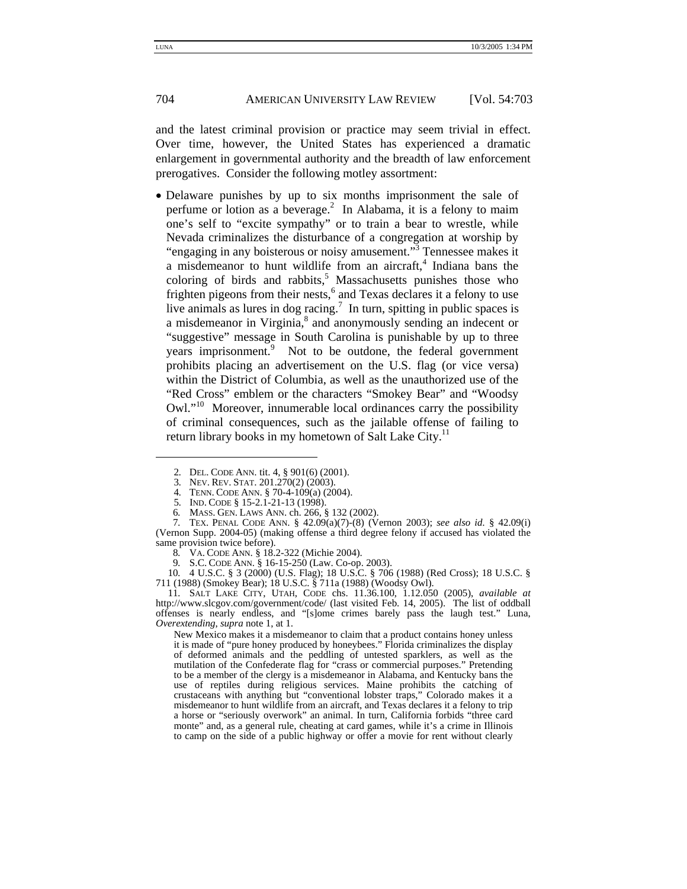and the latest criminal provision or practice may seem trivial in effect. Over time, however, the United States has experienced a dramatic enlargement in governmental authority and the breadth of law enforcement prerogatives. Consider the following motley assortment:

• Delaware punishes by up to six months imprisonment the sale of perfume or lotion as a beverage.<sup>2</sup> In Alabama, it is a felony to maim one's self to "excite sympathy" or to train a bear to wrestle, while Nevada criminalizes the disturbance of a congregation at worship by "engaging in any boisterous or noisy amusement."<sup>3</sup> Tennessee makes it a misdemeanor to hunt wildlife from an aircraft,<sup>4</sup> Indiana bans the coloring of birds and rabbits, $5$  Massachusetts punishes those who frighten pigeons from their nests,<sup>6</sup> and Texas declares it a felony to use live animals as lures in dog racing.<sup>7</sup> In turn, spitting in public spaces is a misdemeanor in Virginia,<sup>8</sup> and anonymously sending an indecent or "suggestive" message in South Carolina is punishable by up to three years imprisonment.<sup>9</sup> Not to be outdone, the federal government prohibits placing an advertisement on the U.S. flag (or vice versa) within the District of Columbia, as well as the unauthorized use of the "Red Cross" emblem or the characters "Smokey Bear" and "Woodsy Owl."10 Moreover, innumerable local ordinances carry the possibility of criminal consequences, such as the jailable offense of failing to return library books in my hometown of Salt Lake City.<sup>11</sup>

10*.* 4 U.S.C. § 3 (2000) (U.S. Flag); 18 U.S.C. § 706 (1988) (Red Cross); 18 U.S.C. § 711 (1988) (Smokey Bear); 18 U.S.C. § 711a (1988) (Woodsy Owl).

11*.* SALT LAKE CITY, UTAH, CODE chs. 11.36.100, 1.12.050 (2005), *available at* http://www.slcgov.com/government/code/ (last visited Feb. 14, 2005). The list of oddball offenses is nearly endless, and "[s]ome crimes barely pass the laugh test." Luna, *Overextending*, *supra* note 1, at 1.

New Mexico makes it a misdemeanor to claim that a product contains honey unless it is made of "pure honey produced by honeybees." Florida criminalizes the display of deformed animals and the peddling of untested sparklers, as well as the mutilation of the Confederate flag for "crass or commercial purposes." Pretending to be a member of the clergy is a misdemeanor in Alabama, and Kentucky bans the use of reptiles during religious services. Maine prohibits the catching of crustaceans with anything but "conventional lobster traps," Colorado makes it a misdemeanor to hunt wildlife from an aircraft, and Texas declares it a felony to trip a horse or "seriously overwork" an animal. In turn, California forbids "three card monte" and, as a general rule, cheating at card games, while it's a crime in Illinois to camp on the side of a public highway or offer a movie for rent without clearly

<sup>2</sup>*.* DEL. CODE ANN. tit. 4, § 901(6) (2001).

<sup>3</sup>*.* NEV. REV. STAT. 201.270(2) (2003).

<sup>4</sup>*.* TENN. CODE ANN. § 70-4-109(a) (2004).

<sup>5</sup>*.* IND. CODE § 15-2.1-21-13 (1998).

<sup>6</sup>*.* MASS. GEN. LAWS ANN. ch. 266, § 132 (2002).

<sup>7</sup>*.* TEX. PENAL CODE ANN. § 42.09(a)(7)-(8) (Vernon 2003); *see also id.* § 42.09(i) (Vernon Supp. 2004-05) (making offense a third degree felony if accused has violated the same provision twice before).

<sup>8</sup>*.* VA. CODE ANN. § 18.2-322 (Michie 2004).

<sup>9</sup>*.* S.C. CODE ANN. § 16-15-250 (Law. Co-op. 2003).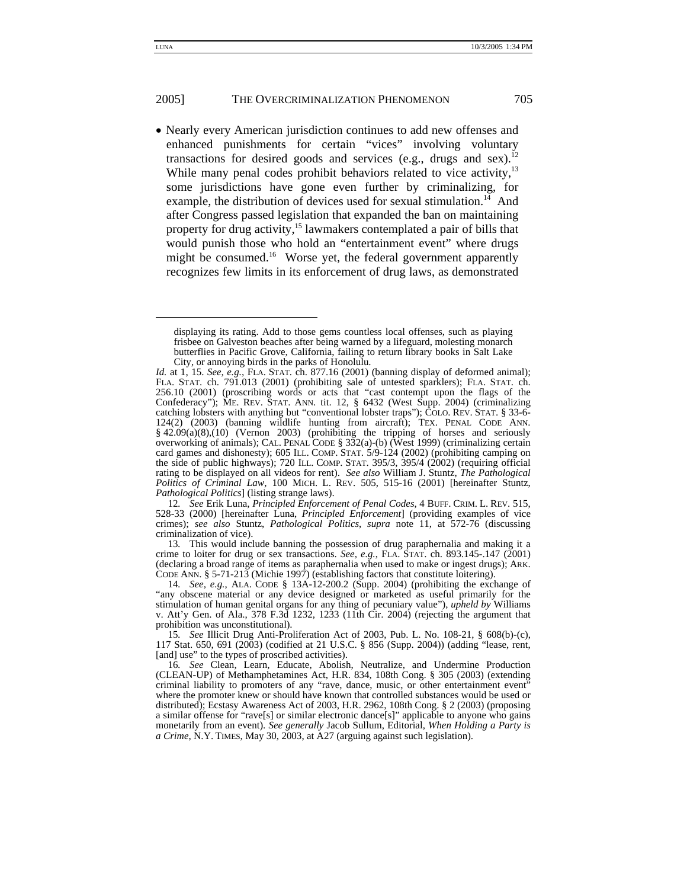• Nearly every American jurisdiction continues to add new offenses and enhanced punishments for certain "vices" involving voluntary transactions for desired goods and services (e.g., drugs and sex).<sup>12</sup> While many penal codes prohibit behaviors related to vice activity,<sup>13</sup> some jurisdictions have gone even further by criminalizing, for example, the distribution of devices used for sexual stimulation.<sup>14</sup> And after Congress passed legislation that expanded the ban on maintaining property for drug activity,15 lawmakers contemplated a pair of bills that would punish those who hold an "entertainment event" where drugs might be consumed.<sup>16</sup> Worse yet, the federal government apparently recognizes few limits in its enforcement of drug laws, as demonstrated

12*. See* Erik Luna, *Principled Enforcement of Penal Codes*, 4 BUFF. CRIM. L. REV. 515, 528-33 (2000) [hereinafter Luna, *Principled Enforcement*] (providing examples of vice crimes); *see also* Stuntz, *Pathological Politics*, *supra* note 11, at 572-76 (discussing criminalization of vice).

13*.* This would include banning the possession of drug paraphernalia and making it a crime to loiter for drug or sex transactions. *See, e.g.*, FLA. STAT. ch. 893.145-.147 (2001) (declaring a broad range of items as paraphernalia when used to make or ingest drugs); ARK. CODE ANN. § 5-71-213 (Michie 1997) (establishing factors that constitute loitering).

14*. See, e.g.*, ALA. CODE § 13A-12-200.2 (Supp. 2004) (prohibiting the exchange of "any obscene material or any device designed or marketed as useful primarily for the stimulation of human genital organs for any thing of pecuniary value"), *upheld by* Williams v. Att'y Gen. of Ala., 378 F.3d 1232, 1233 (11th Cir. 2004) (rejecting the argument that prohibition was unconstitutional).

15*. See* Illicit Drug Anti-Proliferation Act of 2003, Pub. L. No. 108-21, § 608(b)-(c), 117 Stat. 650, 691 (2003) (codified at 21 U.S.C. § 856 (Supp. 2004)) (adding "lease, rent, [and] use" to the types of proscribed activities).

16*. See* Clean, Learn, Educate, Abolish, Neutralize, and Undermine Production (CLEAN-UP) of Methamphetamines Act, H.R. 834, 108th Cong. § 305 (2003) (extending criminal liability to promoters of any "rave, dance, music, or other entertainment event" where the promoter knew or should have known that controlled substances would be used or distributed); Ecstasy Awareness Act of 2003, H.R. 2962, 108th Cong. § 2 (2003) (proposing a similar offense for "rave[s] or similar electronic dance[s]" applicable to anyone who gains monetarily from an event). *See generally* Jacob Sullum, Editorial, *When Holding a Party is a Crime*, N.Y. TIMES, May 30, 2003, at A27 (arguing against such legislation).

displaying its rating. Add to those gems countless local offenses, such as playing frisbee on Galveston beaches after being warned by a lifeguard, molesting monarch butterflies in Pacific Grove, California, failing to return library books in Salt Lake City, or annoying birds in the parks of Honolulu.

*Id.* at 1, 15. *See, e.g.,* FLA. STAT. ch. 877.16 (2001) (banning display of deformed animal); FLA. STAT. ch. 791.013 (2001) (prohibiting sale of untested sparklers); FLA. STAT. ch. 256.10 (2001) (proscribing words or acts that "cast contempt upon the flags of the Confederacy"); ME. REV. STAT. ANN. tit. 12, § 6432 (West Supp. 2004) (criminalizing catching lobsters with anything but "conventional lobster traps"); COLO. REV. STAT. § 33-6-124(2) (2003) (banning wildlife hunting from aircraft); TEX. PENAL CODE ANN. § 42.09(a)(8),(10) (Vernon 2003) (prohibiting the tripping of horses and seriously overworking of animals); CAL. PENAL CODE § 332(a)-(b) (West 1999) (criminalizing certain card games and dishonesty); 605 ILL. COMP. STAT. 5/9-124 (2002) (prohibiting camping on the side of public highways); 720 ILL. COMP. STAT. 395/3, 395/4 (2002) (requiring official rating to be displayed on all videos for rent). *See also* William J. Stuntz, *The Pathological Politics of Criminal Law*, 100 MICH. L. REV. 505, 515-16 (2001) [hereinafter Stuntz, *Pathological Politics*] (listing strange laws).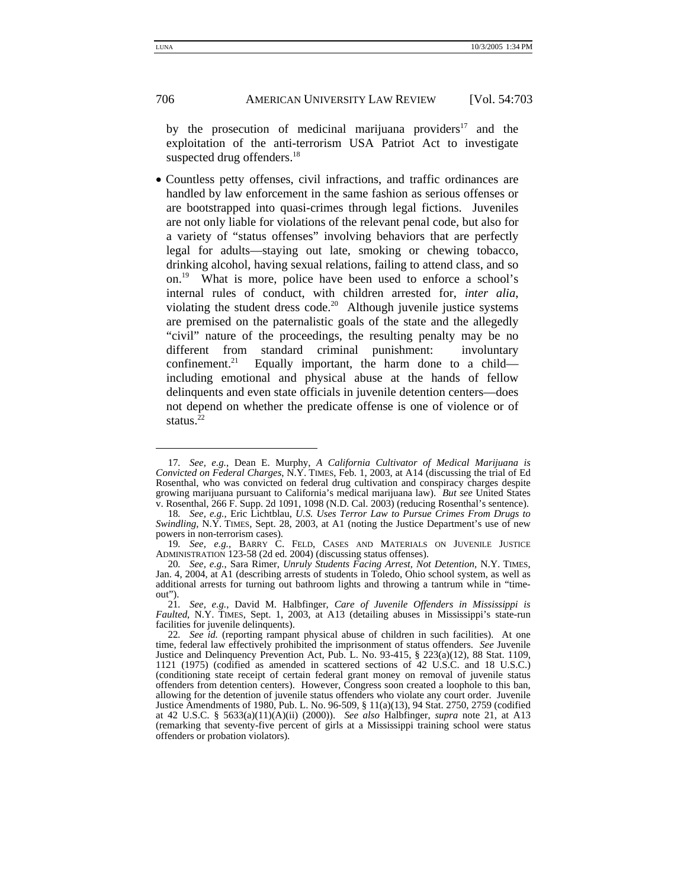by the prosecution of medicinal marijuana providers $17$  and the exploitation of the anti-terrorism USA Patriot Act to investigate suspected drug offenders.<sup>18</sup>

• Countless petty offenses, civil infractions, and traffic ordinances are handled by law enforcement in the same fashion as serious offenses or are bootstrapped into quasi-crimes through legal fictions. Juveniles are not only liable for violations of the relevant penal code, but also for a variety of "status offenses" involving behaviors that are perfectly legal for adults—staying out late, smoking or chewing tobacco, drinking alcohol, having sexual relations, failing to attend class, and so on.19 What is more, police have been used to enforce a school's internal rules of conduct, with children arrested for, *inter alia*, violating the student dress code.<sup>20</sup> Although juvenile justice systems are premised on the paternalistic goals of the state and the allegedly "civil" nature of the proceedings, the resulting penalty may be no different from standard criminal punishment: involuntary confinement.<sup>21</sup> Equally important, the harm done to a child including emotional and physical abuse at the hands of fellow delinquents and even state officials in juvenile detention centers—does not depend on whether the predicate offense is one of violence or of status. $2^2$ 

<sup>17</sup>*. See, e.g.*, Dean E. Murphy, *A California Cultivator of Medical Marijuana is Convicted on Federal Charges*, N.Y. TIMES, Feb. 1, 2003, at A14 (discussing the trial of Ed Rosenthal, who was convicted on federal drug cultivation and conspiracy charges despite growing marijuana pursuant to California's medical marijuana law). *But see* United States v. Rosenthal, 266 F. Supp. 2d 1091, 1098 (N.D. Cal. 2003) (reducing Rosenthal's sentence).

<sup>18</sup>*. See, e.g.*, Eric Lichtblau, *U.S. Uses Terror Law to Pursue Crimes From Drugs to Swindling*, N.Y. TIMES, Sept. 28, 2003, at A1 (noting the Justice Department's use of new powers in non-terrorism cases).

<sup>19</sup>*. See, e.g.*, BARRY C. FELD, CASES AND MATERIALS ON JUVENILE JUSTICE ADMINISTRATION 123-58 (2d ed. 2004) (discussing status offenses).

<sup>20</sup>*. See, e.g.*, Sara Rimer, *Unruly Students Facing Arrest, Not Detention*, N.Y. TIMES, Jan. 4, 2004, at A1 (describing arrests of students in Toledo, Ohio school system, as well as additional arrests for turning out bathroom lights and throwing a tantrum while in "timeout").

<sup>21</sup>*. See, e.g.*, David M. Halbfinger, *Care of Juvenile Offenders in Mississippi is Faulted*, N.Y. TIMES, Sept. 1, 2003, at A13 (detailing abuses in Mississippi's state-run facilities for juvenile delinquents).

<sup>22</sup>*. See id.* (reporting rampant physical abuse of children in such facilities). At one time, federal law effectively prohibited the imprisonment of status offenders. *See* Juvenile Justice and Delinquency Prevention Act, Pub. L. No. 93-415, § 223(a)(12), 88 Stat. 1109, 1121 (1975) (codified as amended in scattered sections of 42 U.S.C. and 18 U.S.C.) (conditioning state receipt of certain federal grant money on removal of juvenile status offenders from detention centers). However, Congress soon created a loophole to this ban, allowing for the detention of juvenile status offenders who violate any court order. Juvenile Justice Amendments of 1980, Pub. L. No. 96-509, § 11(a)(13), 94 Stat. 2750, 2759 (codified at 42 U.S.C. § 5633(a)(11)(A)(ii) (2000)). *See also* Halbfinger, *supra* note 21, at A13 (remarking that seventy-five percent of girls at a Mississippi training school were status offenders or probation violators).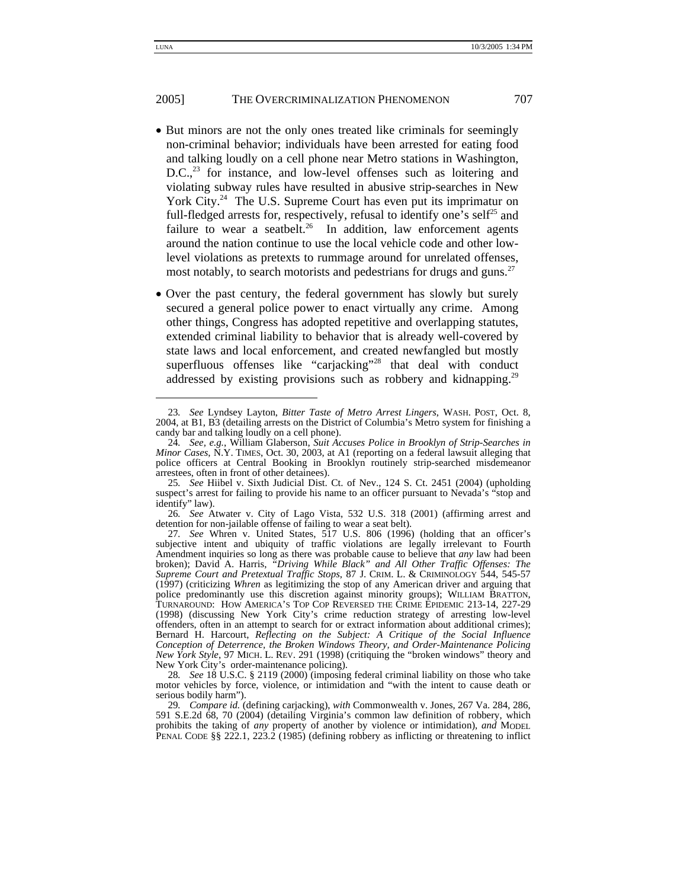- But minors are not the only ones treated like criminals for seemingly non-criminal behavior; individuals have been arrested for eating food and talking loudly on a cell phone near Metro stations in Washington, D.C.,<sup>23</sup> for instance, and low-level offenses such as loitering and violating subway rules have resulted in abusive strip-searches in New York City.<sup>24</sup> The U.S. Supreme Court has even put its imprimatur on full-fledged arrests for, respectively, refusal to identify one's self<sup>25</sup> and failure to wear a seatbelt.<sup>26</sup> In addition, law enforcement agents around the nation continue to use the local vehicle code and other lowlevel violations as pretexts to rummage around for unrelated offenses, most notably, to search motorists and pedestrians for drugs and guns.<sup>27</sup>
- Over the past century, the federal government has slowly but surely secured a general police power to enact virtually any crime. Among other things, Congress has adopted repetitive and overlapping statutes, extended criminal liability to behavior that is already well-covered by state laws and local enforcement, and created newfangled but mostly superfluous offenses like "carjacking"<sup>28</sup> that deal with conduct addressed by existing provisions such as robbery and kidnapping.<sup>29</sup>

<sup>23</sup>*. See* Lyndsey Layton, *Bitter Taste of Metro Arrest Lingers*, WASH. POST, Oct. 8, 2004, at B1, B3 (detailing arrests on the District of Columbia's Metro system for finishing a candy bar and talking loudly on a cell phone).

<sup>24</sup>*. See, e.g.*, William Glaberson, *Suit Accuses Police in Brooklyn of Strip-Searches in Minor Cases*, N.Y. TIMES, Oct. 30, 2003, at A1 (reporting on a federal lawsuit alleging that police officers at Central Booking in Brooklyn routinely strip-searched misdemeanor arrestees, often in front of other detainees).

<sup>25</sup>*. See* Hiibel v. Sixth Judicial Dist. Ct. of Nev., 124 S. Ct. 2451 (2004) (upholding suspect's arrest for failing to provide his name to an officer pursuant to Nevada's "stop and identify" law).

<sup>26</sup>*. See* Atwater v. City of Lago Vista, 532 U.S. 318 (2001) (affirming arrest and detention for non-jailable offense of failing to wear a seat belt).

<sup>27</sup>*. See* Whren v. United States, 517 U.S. 806 (1996) (holding that an officer's subjective intent and ubiquity of traffic violations are legally irrelevant to Fourth Amendment inquiries so long as there was probable cause to believe that *any* law had been broken); David A. Harris, *"Driving While Black" and All Other Traffic Offenses: The Supreme Court and Pretextual Traffic Stops*, 87 J. CRIM. L. & CRIMINOLOGY 544, 545-57 (1997) (criticizing *Whren* as legitimizing the stop of any American driver and arguing that TURNAROUND: HOW AMERICA'S TOP COP REVERSED THE CRIME EPIDEMIC 213-14, 227-29 (1998) (discussing New York City's crime reduction strategy of arresting low-level offenders, often in an attempt to search for or extract information about additional crimes); Bernard H. Harcourt, *Reflecting on the Subject: A Critique of the Social Influence Conception of Deterrence, the Broken Windows Theory, and Order-Maintenance Policing New York Style*, 97 MICH. L. REV. 291 (1998) (critiquing the "broken windows" theory and New York City's order-maintenance policing).

<sup>28</sup>*. See* 18 U.S.C. § 2119 (2000) (imposing federal criminal liability on those who take motor vehicles by force, violence, or intimidation and "with the intent to cause death or serious bodily harm").

<sup>29</sup>*. Compare id.* (defining carjacking), *with* Commonwealth v. Jones, 267 Va. 284, 286, 591 S.E.2d 68, 70 (2004) (detailing Virginia's common law definition of robbery, which prohibits the taking of *any* property of another by violence or intimidation), *and* MODEL PENAL CODE §§ 222.1, 223.2 (1985) (defining robbery as inflicting or threatening to inflict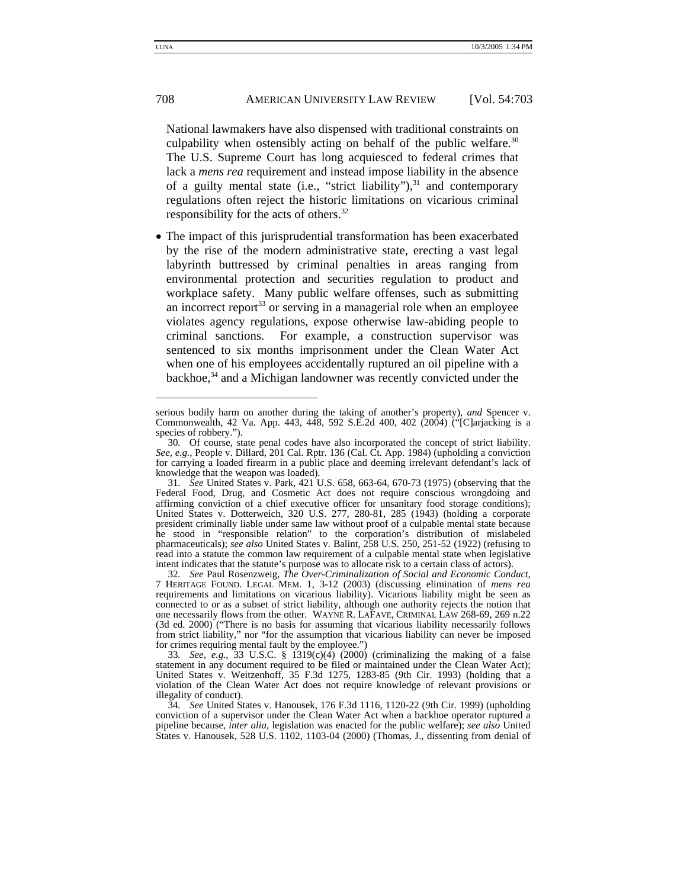National lawmakers have also dispensed with traditional constraints on culpability when ostensibly acting on behalf of the public welfare.<sup>30</sup> The U.S. Supreme Court has long acquiesced to federal crimes that lack a *mens rea* requirement and instead impose liability in the absence of a guilty mental state (i.e., "strict liability"), $31$  and contemporary regulations often reject the historic limitations on vicarious criminal responsibility for the acts of others.32

• The impact of this jurisprudential transformation has been exacerbated by the rise of the modern administrative state, erecting a vast legal labyrinth buttressed by criminal penalties in areas ranging from environmental protection and securities regulation to product and workplace safety. Many public welfare offenses, such as submitting an incorrect report<sup>33</sup> or serving in a managerial role when an employee violates agency regulations, expose otherwise law-abiding people to criminal sanctions. For example, a construction supervisor was sentenced to six months imprisonment under the Clean Water Act when one of his employees accidentally ruptured an oil pipeline with a backhoe,<sup>34</sup> and a Michigan landowner was recently convicted under the

serious bodily harm on another during the taking of another's property), *and* Spencer v. Commonwealth, 42 Va. App. 443, 448, 592 S.E.2d 400, 402 (2004) ("[C]arjacking is a species of robbery.").

<sup>30</sup>*.* Of course, state penal codes have also incorporated the concept of strict liability. *See, e.g.*, People v. Dillard, 201 Cal. Rptr. 136 (Cal. Ct. App. 1984) (upholding a conviction for carrying a loaded firearm in a public place and deeming irrelevant defendant's lack of knowledge that the weapon was loaded).

<sup>31</sup>*. See* United States v. Park, 421 U.S. 658, 663-64, 670-73 (1975) (observing that the Federal Food, Drug, and Cosmetic Act does not require conscious wrongdoing and affirming conviction of a chief executive officer for unsanitary food storage conditions); United States v. Dotterweich, 320 U.S. 277, 280-81, 285 (1943) (holding a corporate president criminally liable under same law without proof of a culpable mental state because he stood in "responsible relation" to the corporation's distribution of mislabeled pharmaceuticals); *see also* United States v. Balint, 258 U.S. 250, 251-52 (1922) (refusing to read into a statute the common law requirement of a culpable mental state when legislative intent indicates that the statute's purpose was to allocate risk to a certain class of actors).

<sup>32</sup>*. See* Paul Rosenzweig, *The Over-Criminalization of Social and Economic Conduct*, 7 HERITAGE FOUND. LEGAL MEM. 1, 3-12 (2003) (discussing elimination of *mens rea* requirements and limitations on vicarious liability). Vicarious liability might be seen as connected to or as a subset of strict liability, although one authority rejects the notion that one necessarily flows from the other. WAYNE R. LAFAVE, CRIMINAL LAW 268-69, 269 n.22 (3d ed. 2000) ("There is no basis for assuming that vicarious liability necessarily follows from strict liability," nor "for the assumption that vicarious liability can never be imposed for crimes requiring mental fault by the employee.")

<sup>33</sup>*. See, e.g.*, 33 U.S.C. § 1319(c)(4) (2000) (criminalizing the making of a false statement in any document required to be filed or maintained under the Clean Water Act); United States v. Weitzenhoff, 35 F.3d 1275, 1283-85 (9th Cir. 1993) (holding that a violation of the Clean Water Act does not require knowledge of relevant provisions or illegality of conduct).

<sup>34</sup>*. See* United States v. Hanousek, 176 F.3d 1116, 1120-22 (9th Cir. 1999) (upholding conviction of a supervisor under the Clean Water Act when a backhoe operator ruptured a pipeline because, *inter alia*, legislation was enacted for the public welfare); *see also* United States v. Hanousek, 528 U.S. 1102, 1103-04 (2000) (Thomas, J., dissenting from denial of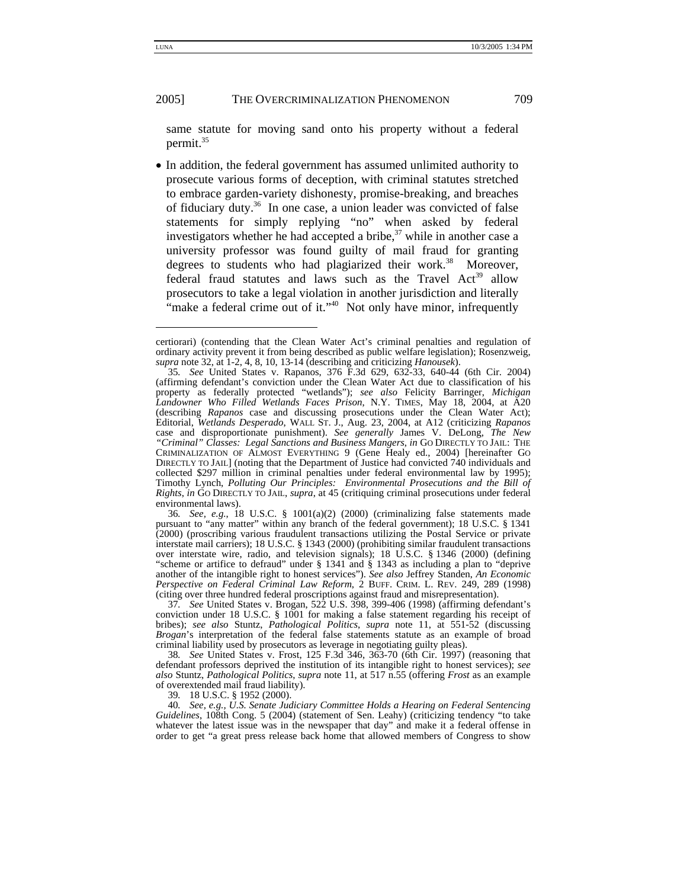same statute for moving sand onto his property without a federal permit.<sup>35</sup>

• In addition, the federal government has assumed unlimited authority to prosecute various forms of deception, with criminal statutes stretched to embrace garden-variety dishonesty, promise-breaking, and breaches of fiduciary duty.36 In one case, a union leader was convicted of false statements for simply replying "no" when asked by federal investigators whether he had accepted a bribe, $37$  while in another case a university professor was found guilty of mail fraud for granting degrees to students who had plagiarized their work.<sup>38</sup> Moreover, federal fraud statutes and laws such as the Travel  $Act<sup>39</sup>$  allow prosecutors to take a legal violation in another jurisdiction and literally "make a federal crime out of it."<sup>40</sup> Not only have minor, infrequently

36*. See, e.g.*, 18 U.S.C. § 1001(a)(2) (2000) (criminalizing false statements made pursuant to "any matter" within any branch of the federal government); 18 U.S.C. § 1341 (2000) (proscribing various fraudulent transactions utilizing the Postal Service or private interstate mail carriers); 18 U.S.C. § 1343 (2000) (prohibiting similar fraudulent transactions over interstate wire, radio, and television signals); 18 U.S.C. § 1346 (2000) (defining "scheme or artifice to defraud" under § 1341 and § 1343 as including a plan to "deprive another of the intangible right to honest services"). *See also* Jeffrey Standen, *An Economic Perspective on Federal Criminal Law Reform*, 2 BUFF. CRIM. L. REV. 249, 289 (1998) (citing over three hundred federal proscriptions against fraud and misrepresentation).

37*. See* United States v. Brogan, 522 U.S. 398, 399-406 (1998) (affirming defendant's conviction under 18 U.S.C. § 1001 for making a false statement regarding his receipt of bribes); *see also* Stuntz, *Pathological Politics*, *supra* note 11, at 551-52 (discussing *Brogan*'s interpretation of the federal false statements statute as an example of broad criminal liability used by prosecutors as leverage in negotiating guilty pleas).

38*. See* United States v. Frost, 125 F.3d 346, 363-70 (6th Cir. 1997) (reasoning that defendant professors deprived the institution of its intangible right to honest services); *see also* Stuntz, *Pathological Politics*, *supra* note 11, at 517 n.55 (offering *Frost* as an example of overextended mail fraud liability).

39*.* 18 U.S.C. § 1952 (2000).

40*. See, e.g., U.S. Senate Judiciary Committee Holds a Hearing on Federal Sentencing Guidelines*, 108th Cong. 5 (2004) (statement of Sen. Leahy) (criticizing tendency "to take whatever the latest issue was in the newspaper that day" and make it a federal offense in order to get "a great press release back home that allowed members of Congress to show

certiorari) (contending that the Clean Water Act's criminal penalties and regulation of ordinary activity prevent it from being described as public welfare legislation); Rosenzweig, *supra* note 32, at 1-2, 4, 8, 10, 13-14 (describing and criticizing *Hanousek*).

<sup>35</sup>*. See* United States v. Rapanos, 376 F.3d 629, 632-33, 640-44 (6th Cir. 2004) (affirming defendant's conviction under the Clean Water Act due to classification of his property as federally protected "wetlands"); *see also* Felicity Barringer, *Michigan Landowner Who Filled Wetlands Faces Prison*, N.Y. TIMES, May 18, 2004, at A20 (describing *Rapanos* case and discussing prosecutions under the Clean Water Act); Editorial, *Wetlands Desperado*, WALL ST. J., Aug. 23, 2004, at A12 (criticizing *Rapanos* case and disproportionate punishment). *See generally* James V. DeLong, *The New "Criminal" Classes: Legal Sanctions and Business Mangers*, *in* GO DIRECTLY TO JAIL: THE CRIMINALIZATION OF ALMOST EVERYTHING 9 (Gene Healy ed., 2004) [hereinafter GO DIRECTLY TO JAIL] (noting that the Department of Justice had convicted 740 individuals and collected \$297 million in criminal penalties under federal environmental law by 1995); Timothy Lynch, *Polluting Our Principles: Environmental Prosecutions and the Bill of Rights*, *in* GO DIRECTLY TO JAIL, *supra*, at 45 (critiquing criminal prosecutions under federal environmental laws).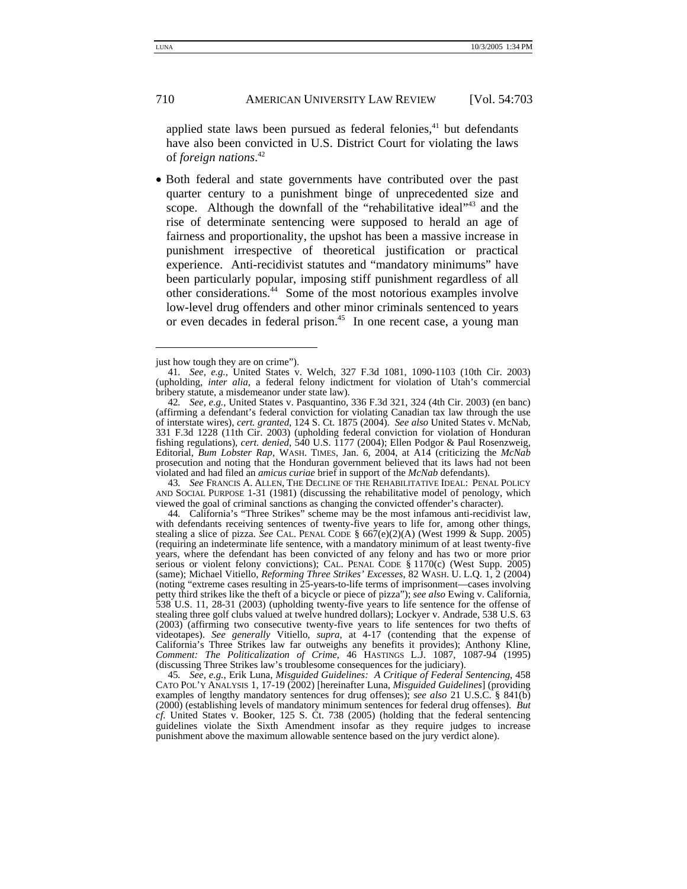applied state laws been pursued as federal felonies, $41$  but defendants have also been convicted in U.S. District Court for violating the laws of *foreign nations*. 42

• Both federal and state governments have contributed over the past quarter century to a punishment binge of unprecedented size and scope. Although the downfall of the "rehabilitative ideal"<sup>43</sup> and the rise of determinate sentencing were supposed to herald an age of fairness and proportionality, the upshot has been a massive increase in punishment irrespective of theoretical justification or practical experience. Anti-recidivist statutes and "mandatory minimums" have been particularly popular, imposing stiff punishment regardless of all other considerations.44 Some of the most notorious examples involve low-level drug offenders and other minor criminals sentenced to years or even decades in federal prison.<sup>45</sup> In one recent case, a young man

43*. See* FRANCIS A. ALLEN, THE DECLINE OF THE REHABILITATIVE IDEAL: PENAL POLICY AND SOCIAL PURPOSE 1-31 (1981) (discussing the rehabilitative model of penology, which viewed the goal of criminal sanctions as changing the convicted offender's character).

44*.* California's "Three Strikes" scheme may be the most infamous anti-recidivist law, with defendants receiving sentences of twenty-five years to life for, among other things, stealing a slice of pizza. *See* CAL. PENAL CODE § 667(e)(2)(A) (West 1999 & Supp. 2005) (requiring an indeterminate life sentence, with a mandatory minimum of at least twenty-five years, where the defendant has been convicted of any felony and has two or more prior serious or violent felony convictions); CAL. PENAL CODE  $\S 1170(c)$  (West Supp. 2005) (same); Michael Vitiello, *Reforming Three Strikes' Excesses*, 82 WASH. U. L.Q. 1, 2 (2004) (noting "extreme cases resulting in 25-years-to-life terms of imprisonment—cases involving petty third strikes like the theft of a bicycle or piece of pizza"); *see also* Ewing v. California, 538 U.S. 11, 28-31 (2003) (upholding twenty-five years to life sentence for the offense of stealing three golf clubs valued at twelve hundred dollars); Lockyer v. Andrade, 538 U.S. 63 (2003) (affirming two consecutive twenty-five years to life sentences for two thefts of videotapes). *See generally* Vitiello, *supra*, at 4-17 (contending that the expense of California's Three Strikes law far outweighs any benefits it provides); Anthony Kline, *Comment: The Politicalization of Crime*, 46 HASTINGS L.J. 1087, 1087-94 (1995) (discussing Three Strikes law's troublesome consequences for the judiciary).

45*. See, e.g.*, Erik Luna, *Misguided Guidelines: A Critique of Federal Sentencing*, 458 CATO POL'Y ANALYSIS 1, 17-19 (2002) [hereinafter Luna, *Misguided Guidelines*] (providing examples of lengthy mandatory sentences for drug offenses); *see also* 21 U.S.C. § 841(b) (2000) (establishing levels of mandatory minimum sentences for federal drug offenses). *But cf.* United States v. Booker, 125 S. Ct. 738 (2005) (holding that the federal sentencing guidelines violate the Sixth Amendment insofar as they require judges to increase punishment above the maximum allowable sentence based on the jury verdict alone).

just how tough they are on crime").

<sup>41</sup>*. See, e.g.*, United States v. Welch, 327 F.3d 1081, 1090-1103 (10th Cir. 2003) (upholding, *inter alia*, a federal felony indictment for violation of Utah's commercial bribery statute, a misdemeanor under state law).

<sup>42</sup>*. See, e.g.*, United States v. Pasquantino, 336 F.3d 321, 324 (4th Cir. 2003) (en banc) (affirming a defendant's federal conviction for violating Canadian tax law through the use of interstate wires), *cert. granted*, 124 S. Ct. 1875 (2004). *See also* United States v. McNab, 331 F.3d 1228 (11th Cir. 2003) (upholding federal conviction for violation of Honduran fishing regulations), *cert. denied*, 540 U.S. 1177 (2004); Ellen Podgor & Paul Rosenzweig, Editorial, *Bum Lobster Rap*, WASH. TIMES, Jan. 6, 2004, at A14 (criticizing the *McNab* prosecution and noting that the Honduran government believed that its laws had not been violated and had filed an *amicus curiae* brief in support of the *McNab* defendants).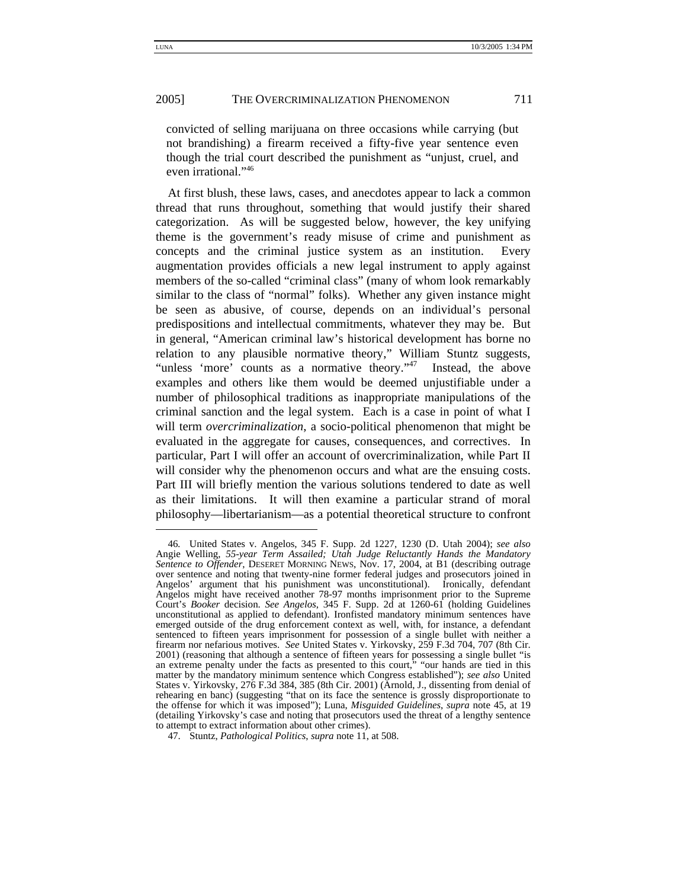-

#### 2005] THE OVERCRIMINALIZATION PHENOMENON 711

convicted of selling marijuana on three occasions while carrying (but not brandishing) a firearm received a fifty-five year sentence even though the trial court described the punishment as "unjust, cruel, and even irrational."46

At first blush, these laws, cases, and anecdotes appear to lack a common thread that runs throughout, something that would justify their shared categorization. As will be suggested below, however, the key unifying theme is the government's ready misuse of crime and punishment as concepts and the criminal justice system as an institution. Every augmentation provides officials a new legal instrument to apply against members of the so-called "criminal class" (many of whom look remarkably similar to the class of "normal" folks). Whether any given instance might be seen as abusive, of course, depends on an individual's personal predispositions and intellectual commitments, whatever they may be. But in general, "American criminal law's historical development has borne no relation to any plausible normative theory," William Stuntz suggests, "unless 'more' counts as a normative theory."<sup>47</sup> Instead, the above examples and others like them would be deemed unjustifiable under a number of philosophical traditions as inappropriate manipulations of the criminal sanction and the legal system. Each is a case in point of what I will term *overcriminalization*, a socio-political phenomenon that might be evaluated in the aggregate for causes, consequences, and correctives. In particular, Part I will offer an account of overcriminalization, while Part II will consider why the phenomenon occurs and what are the ensuing costs. Part III will briefly mention the various solutions tendered to date as well as their limitations. It will then examine a particular strand of moral philosophy—libertarianism—as a potential theoretical structure to confront

<sup>46</sup>*.* United States v. Angelos, 345 F. Supp. 2d 1227, 1230 (D. Utah 2004); *see also* Angie Welling, *55-year Term Assailed; Utah Judge Reluctantly Hands the Mandatory Sentence to Offender*, DESERET MORNING NEWS, Nov. 17, 2004, at B1 (describing outrage over sentence and noting that twenty-nine former federal judges and prosecutors joined in Angelos' argument that his punishment was unconstitutional). Ironically, defendant Angelos might have received another 78-97 months imprisonment prior to the Supreme Court's *Booker* decision. *See Angelos*, 345 F. Supp. 2d at 1260-61 (holding Guidelines unconstitutional as applied to defendant). Ironfisted mandatory minimum sentences have emerged outside of the drug enforcement context as well, with, for instance, a defendant sentenced to fifteen years imprisonment for possession of a single bullet with neither a firearm nor nefarious motives. *See* United States v. Yirkovsky, 259 F.3d 704, 707 (8th Cir. 2001) (reasoning that although a sentence of fifteen years for possessing a single bullet "is an extreme penalty under the facts as presented to this court," "our hands are tied in this matter by the mandatory minimum sentence which Congress established"); *see also* United States v. Yirkovsky, 276 F.3d 384, 385 (8th Cir. 2001) (Arnold, J., dissenting from denial of rehearing en banc) (suggesting "that on its face the sentence is grossly disproportionate to the offense for which it was imposed"); Luna, *Misguided Guidelines*, *supra* note 45, at 19 (detailing Yirkovsky's case and noting that prosecutors used the threat of a lengthy sentence to attempt to extract information about other crimes).

 <sup>47.</sup> Stuntz, *Pathological Politics*, *supra* note 11, at 508.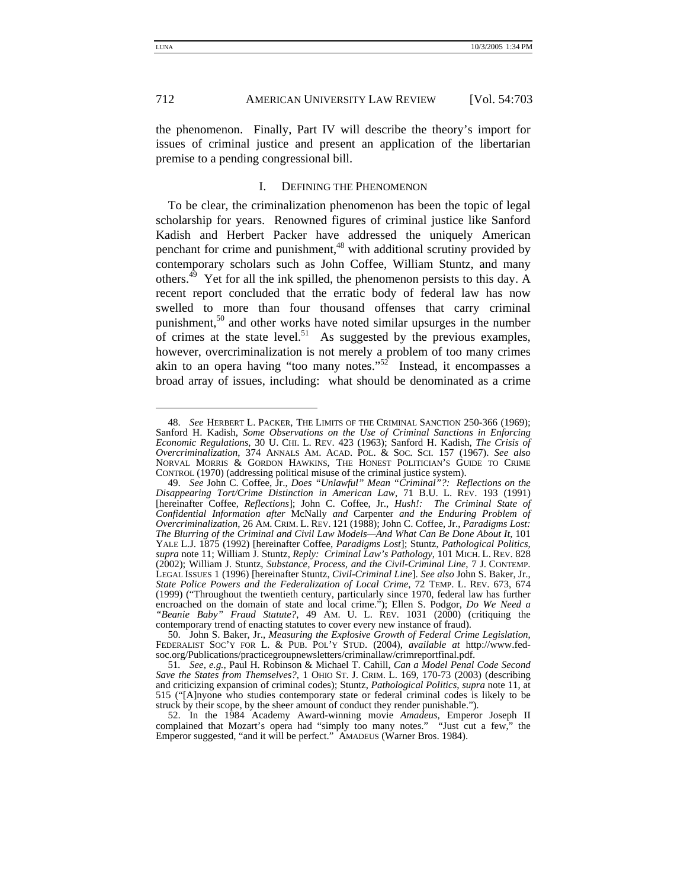-

#### 712 **AMERICAN UNIVERSITY LAW REVIEW** [Vol. 54:703]

the phenomenon. Finally, Part IV will describe the theory's import for issues of criminal justice and present an application of the libertarian premise to a pending congressional bill.

#### I. DEFINING THE PHENOMENON

To be clear, the criminalization phenomenon has been the topic of legal scholarship for years. Renowned figures of criminal justice like Sanford Kadish and Herbert Packer have addressed the uniquely American penchant for crime and punishment,<sup>48</sup> with additional scrutiny provided by contemporary scholars such as John Coffee, William Stuntz, and many others.49 Yet for all the ink spilled, the phenomenon persists to this day. A recent report concluded that the erratic body of federal law has now swelled to more than four thousand offenses that carry criminal punishment, $5<sup>0</sup>$  and other works have noted similar upsurges in the number of crimes at the state level.<sup>51</sup> As suggested by the previous examples, however, overcriminalization is not merely a problem of too many crimes akin to an opera having "too many notes." $52$  Instead, it encompasses a broad array of issues, including: what should be denominated as a crime

 <sup>48.</sup> *See* HERBERT L. PACKER, THE LIMITS OF THE CRIMINAL SANCTION 250-366 (1969); Sanford H. Kadish, *Some Observations on the Use of Criminal Sanctions in Enforcing Economic Regulations*, 30 U. CHI. L. REV. 423 (1963); Sanford H. Kadish, *The Crisis of Overcriminalization*, 374 ANNALS AM. ACAD. POL. & SOC. SCI. 157 (1967). *See also* NORVAL MORRIS & GORDON HAWKINS, THE HONEST POLITICIAN'S GUIDE TO CRIME CONTROL (1970) (addressing political misuse of the criminal justice system).

 <sup>49.</sup> *See* John C. Coffee, Jr., *Does "Unlawful" Mean "Criminal"?: Reflections on the Disappearing Tort/Crime Distinction in American Law*, 71 B.U. L. REV. 193 (1991) [hereinafter Coffee, *Reflections*]; John C. Coffee, Jr., *Hush!: The Criminal State of Confidential Information after* McNally *and* Carpenter *and the Enduring Problem of Overcriminalization*, 26 AM. CRIM. L. REV. 121 (1988); John C. Coffee, Jr., *Paradigms Lost: The Blurring of the Criminal and Civil Law Models—And What Can Be Done About It*, 101 YALE L.J. 1875 (1992) [hereinafter Coffee, *Paradigms Lost*]; Stuntz, *Pathological Politics*, *supra* note 11; William J. Stuntz, *Reply: Criminal Law's Pathology*, 101 MICH. L. REV. 828 (2002); William J. Stuntz, *Substance, Process, and the Civil-Criminal Line*, 7 J. CONTEMP. LEGAL ISSUES 1 (1996) [hereinafter Stuntz, *Civil-Criminal Line*]. *See also* John S. Baker, Jr., *State Police Powers and the Federalization of Local Crime*, 72 TEMP. L. REV. 673, 674 (1999) ("Throughout the twentieth century, particularly since 1970, federal law has further encroached on the domain of state and local crime."); Ellen S. Podgor, *Do We Need a "Beanie Baby" Fraud Statute?*, 49 AM. U. L. REV. 1031 (2000) (critiquing the contemporary trend of enacting statutes to cover every new instance of fraud).

 <sup>50.</sup> John S. Baker, Jr., *Measuring the Explosive Growth of Federal Crime Legislation*, FEDERALIST SOC'Y FOR L. & PUB. POL'Y STUD. (2004), *available at* http://www.fedsoc.org/Publications/practicegroupnewsletters/criminallaw/crimreportfinal.pdf.

<sup>51</sup>*. See, e.g.*, Paul H. Robinson & Michael T. Cahill, *Can a Model Penal Code Second Save the States from Themselves?*, 1 OHIO ST. J. CRIM. L. 169, 170-73 (2003) (describing and criticizing expansion of criminal codes); Stuntz, *Pathological Politics*, *supra* note 11, at 515 ("[A]nyone who studies contemporary state or federal criminal codes is likely to be struck by their scope, by the sheer amount of conduct they render punishable.").

 <sup>52.</sup> In the 1984 Academy Award-winning movie *Amadeus*, Emperor Joseph II complained that Mozart's opera had "simply too many notes." "Just cut a few," the Emperor suggested, "and it will be perfect." AMADEUS (Warner Bros. 1984).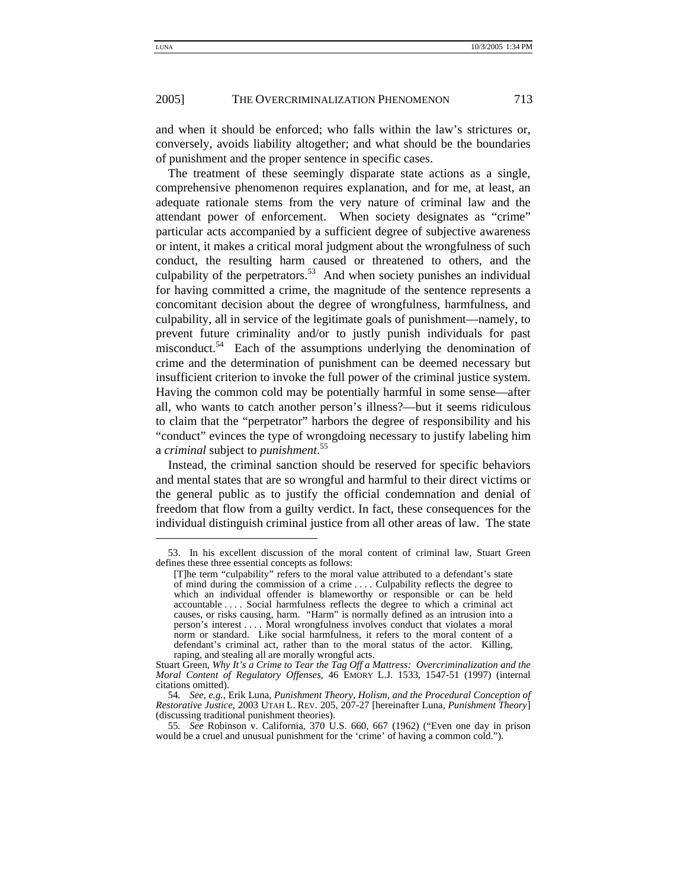and when it should be enforced; who falls within the law's strictures or, conversely, avoids liability altogether; and what should be the boundaries of punishment and the proper sentence in specific cases.

The treatment of these seemingly disparate state actions as a single, comprehensive phenomenon requires explanation, and for me, at least, an adequate rationale stems from the very nature of criminal law and the attendant power of enforcement. When society designates as "crime" particular acts accompanied by a sufficient degree of subjective awareness or intent, it makes a critical moral judgment about the wrongfulness of such conduct, the resulting harm caused or threatened to others, and the culpability of the perpetrators.<sup>53</sup> And when society punishes an individual for having committed a crime, the magnitude of the sentence represents a concomitant decision about the degree of wrongfulness, harmfulness, and culpability, all in service of the legitimate goals of punishment—namely, to prevent future criminality and/or to justly punish individuals for past misconduct.<sup>54</sup> Each of the assumptions underlying the denomination of crime and the determination of punishment can be deemed necessary but insufficient criterion to invoke the full power of the criminal justice system. Having the common cold may be potentially harmful in some sense—after all, who wants to catch another person's illness?—but it seems ridiculous to claim that the "perpetrator" harbors the degree of responsibility and his "conduct" evinces the type of wrongdoing necessary to justify labeling him a *criminal* subject to *punishment*. 55

Instead, the criminal sanction should be reserved for specific behaviors and mental states that are so wrongful and harmful to their direct victims or the general public as to justify the official condemnation and denial of freedom that flow from a guilty verdict. In fact, these consequences for the individual distinguish criminal justice from all other areas of law. The state

 <sup>53.</sup> In his excellent discussion of the moral content of criminal law, Stuart Green defines these three essential concepts as follows:

<sup>[</sup>T]he term "culpability" refers to the moral value attributed to a defendant's state of mind during the commission of a crime . . . . Culpability reflects the degree to which an individual offender is blameworthy or responsible or can be held accountable . . . . Social harmfulness reflects the degree to which a criminal act causes, or risks causing, harm. "Harm" is normally defined as an intrusion into a person's interest . . . . Moral wrongfulness involves conduct that violates a moral norm or standard. Like social harmfulness, it refers to the moral content of a defendant's criminal act, rather than to the moral status of the actor. Killing, raping, and stealing all are morally wrongful acts.

Stuart Green, *Why It's a Crime to Tear the Tag Off a Mattress: Overcriminalization and the Moral Content of Regulatory Offenses*, 46 EMORY L.J. 1533, 1547-51 (1997) (internal citations omitted).

<sup>54</sup>*. See, e.g.*, Erik Luna, *Punishment Theory, Holism, and the Procedural Conception of Restorative Justice*, 2003 UTAH L. REV. 205, 207-27 [hereinafter Luna, *Punishment Theory*] (discussing traditional punishment theories).

<sup>55</sup>*. See* Robinson v. California, 370 U.S. 660, 667 (1962) ("Even one day in prison would be a cruel and unusual punishment for the 'crime' of having a common cold.").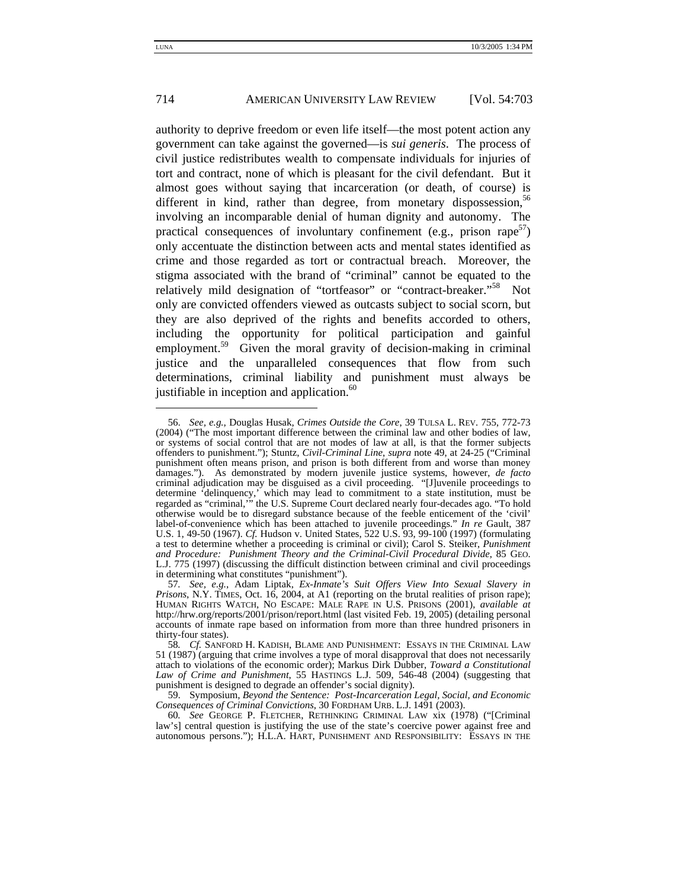authority to deprive freedom or even life itself—the most potent action any government can take against the governed—is *sui generis*. The process of civil justice redistributes wealth to compensate individuals for injuries of tort and contract, none of which is pleasant for the civil defendant. But it almost goes without saying that incarceration (or death, of course) is different in kind, rather than degree, from monetary dispossession,  $56$ involving an incomparable denial of human dignity and autonomy. The practical consequences of involuntary confinement (e.g., prison rape<sup>57</sup>) only accentuate the distinction between acts and mental states identified as crime and those regarded as tort or contractual breach. Moreover, the stigma associated with the brand of "criminal" cannot be equated to the relatively mild designation of "tortfeasor" or "contract-breaker."<sup>58</sup> Not only are convicted offenders viewed as outcasts subject to social scorn, but they are also deprived of the rights and benefits accorded to others, including the opportunity for political participation and gainful employment.<sup>59</sup> Given the moral gravity of decision-making in criminal justice and the unparalleled consequences that flow from such determinations, criminal liability and punishment must always be justifiable in inception and application. $60$ 

 <sup>56.</sup> *See, e.g.,* Douglas Husak, *Crimes Outside the Core*, 39 TULSA L. REV. 755, 772-73 (2004) ("The most important difference between the criminal law and other bodies of law, or systems of social control that are not modes of law at all, is that the former subjects offenders to punishment."); Stuntz, *Civil-Criminal Line*, *supra* note 49, at 24-25 ("Criminal punishment often means prison, and prison is both different from and worse than money damages."). As demonstrated by modern juvenile justice systems, however, *de facto* criminal adjudication may be disguised as a civil proceeding. "[J]uvenile proceedings to determine 'delinquency,' which may lead to commitment to a state institution, must be regarded as "criminal,'" the U.S. Supreme Court declared nearly four-decades ago. "To hold otherwise would be to disregard substance because of the feeble enticement of the 'civil' label-of-convenience which has been attached to juvenile proceedings." *In re* Gault, 387 U.S. 1, 49-50 (1967). *Cf.* Hudson v. United States, 522 U.S. 93, 99-100 (1997) (formulating a test to determine whether a proceeding is criminal or civil); Carol S. Steiker, *Punishment*  L.J. 775 (1997) (discussing the difficult distinction between criminal and civil proceedings in determining what constitutes "punishment").

<sup>57</sup>*. See, e.g.*, Adam Liptak, *Ex-Inmate's Suit Offers View Into Sexual Slavery in Prisons*, N.Y. TIMES, Oct. 16, 2004, at A1 (reporting on the brutal realities of prison rape); HUMAN RIGHTS WATCH, NO ESCAPE: MALE RAPE IN U.S. PRISONS (2001), *available at* http://hrw.org/reports/2001/prison/report.html (last visited Feb. 19, 2005) (detailing personal accounts of inmate rape based on information from more than three hundred prisoners in thirty-four states).

<sup>58</sup>*. Cf.* SANFORD H. KADISH, BLAME AND PUNISHMENT: ESSAYS IN THE CRIMINAL LAW 51 (1987) (arguing that crime involves a type of moral disapproval that does not necessarily attach to violations of the economic order); Markus Dirk Dubber, *Toward a Constitutional Law of Crime and Punishment*, 55 HASTINGS L.J. 509, 546-48 (2004) (suggesting that punishment is designed to degrade an offender's social dignity).

 <sup>59.</sup> Symposium, *Beyond the Sentence: Post-Incarceration Legal, Social, and Economic Consequences of Criminal Convictions*, 30 FORDHAM URB. L.J. 1491 (2003).

<sup>60</sup>*. See* GEORGE P. FLETCHER, RETHINKING CRIMINAL LAW xix (1978) ("[Criminal law's] central question is justifying the use of the state's coercive power against free and autonomous persons."); H.L.A. HART, PUNISHMENT AND RESPONSIBILITY: ESSAYS IN THE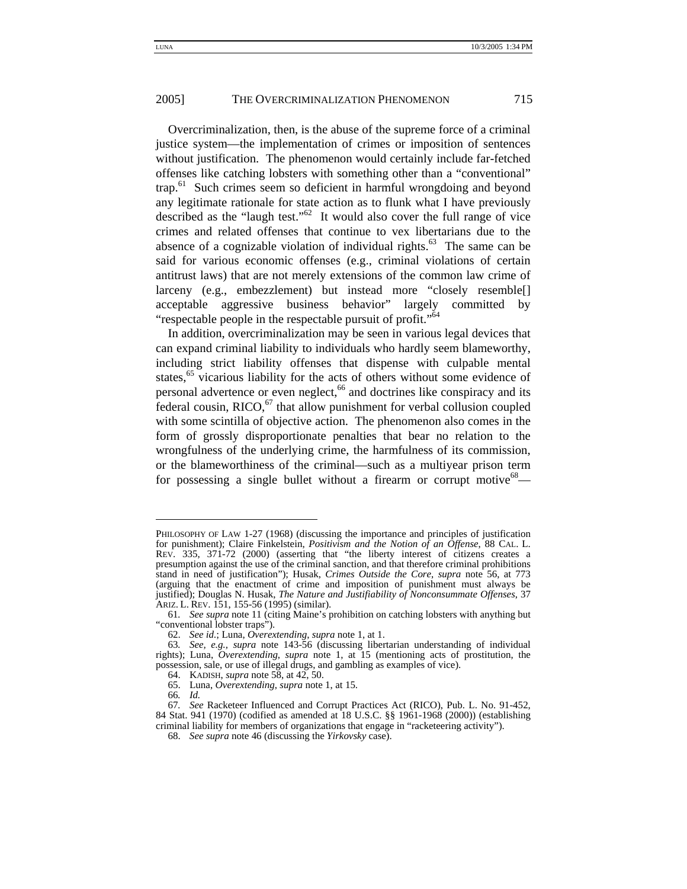Overcriminalization, then, is the abuse of the supreme force of a criminal justice system—the implementation of crimes or imposition of sentences without justification. The phenomenon would certainly include far-fetched offenses like catching lobsters with something other than a "conventional" trap.<sup>61</sup> Such crimes seem so deficient in harmful wrongdoing and beyond any legitimate rationale for state action as to flunk what I have previously described as the "laugh test."<sup>62</sup> It would also cover the full range of vice crimes and related offenses that continue to vex libertarians due to the absence of a cognizable violation of individual rights.<sup>63</sup> The same can be said for various economic offenses (e.g., criminal violations of certain antitrust laws) that are not merely extensions of the common law crime of larceny (e.g., embezzlement) but instead more "closely resemble[] acceptable aggressive business behavior" largely committed by "respectable people in the respectable pursuit of profit."<sup>64</sup>

In addition, overcriminalization may be seen in various legal devices that can expand criminal liability to individuals who hardly seem blameworthy, including strict liability offenses that dispense with culpable mental states,<sup>65</sup> vicarious liability for the acts of others without some evidence of personal advertence or even neglect,<sup>66</sup> and doctrines like conspiracy and its federal cousin,  $RICO<sub>67</sub>$ , that allow punishment for verbal collusion coupled with some scintilla of objective action. The phenomenon also comes in the form of grossly disproportionate penalties that bear no relation to the wrongfulness of the underlying crime, the harmfulness of its commission, or the blameworthiness of the criminal—such as a multiyear prison term for possessing a single bullet without a firearm or corrupt motive $68$ —

PHILOSOPHY OF LAW 1-27 (1968) (discussing the importance and principles of justification for punishment); Claire Finkelstein, *Positivism and the Notion of an Offense*, 88 CAL. L. REV. 335, 371-72 (2000) (asserting that "the liberty interest of citizens creates a presumption against the use of the criminal sanction, and that therefore criminal prohibitions stand in need of justification"); Husak, *Crimes Outside the Core*, *supra* note 56, at 773 (arguing that the enactment of crime and imposition of punishment must always be justified); Douglas N. Husak, *The Nature and Justifiability of Nonconsummate Offenses*, 37 ARIZ. L. REV. 151, 155-56 (1995) (similar).

<sup>61</sup>*. See supra* note 11 (citing Maine's prohibition on catching lobsters with anything but "conventional lobster traps").

 <sup>62.</sup> *See id.*; Luna, *Overextending*, *supra* note 1, at 1.

<sup>63</sup>*. See, e.g., supra* note 143-56 (discussing libertarian understanding of individual rights); Luna, *Overextending*, *supra* note 1, at 15 (mentioning acts of prostitution, the possession, sale, or use of illegal drugs, and gambling as examples of vice).

 <sup>64.</sup> KADISH, *supra* note 58, at 42, 50.

 <sup>65.</sup> Luna, *Overextending*, *supra* note 1, at 15.

<sup>66</sup>*. Id.*

<sup>67</sup>*. See* Racketeer Influenced and Corrupt Practices Act (RICO), Pub. L. No. 91-452, 84 Stat. 941 (1970) (codified as amended at 18 U.S.C. §§ 1961-1968 (2000)) (establishing criminal liability for members of organizations that engage in "racketeering activity").

 <sup>68.</sup> *See supra* note 46 (discussing the *Yirkovsky* case).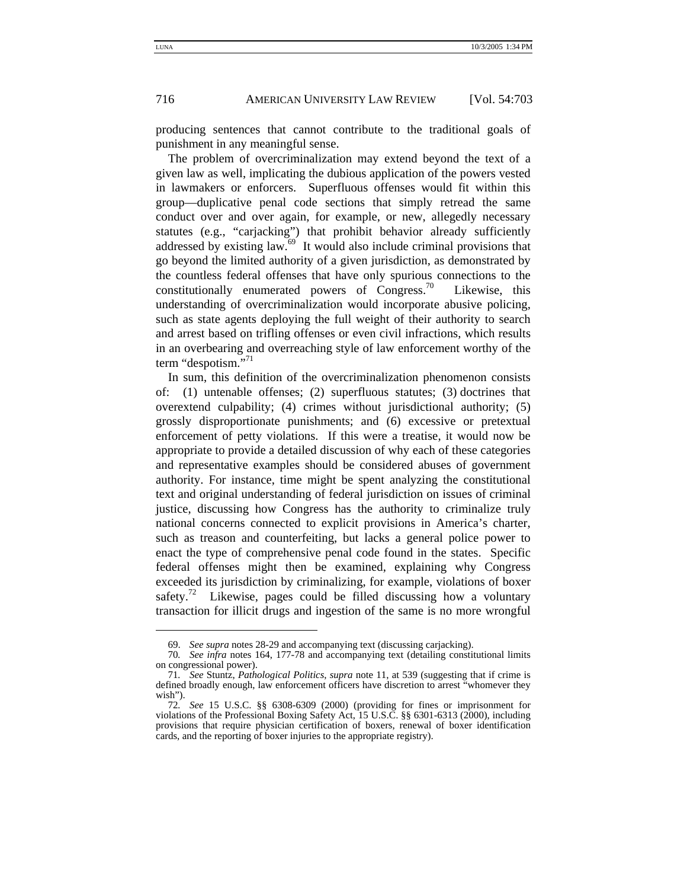producing sentences that cannot contribute to the traditional goals of punishment in any meaningful sense.

The problem of overcriminalization may extend beyond the text of a given law as well, implicating the dubious application of the powers vested in lawmakers or enforcers. Superfluous offenses would fit within this group—duplicative penal code sections that simply retread the same conduct over and over again, for example, or new, allegedly necessary statutes (e.g., "carjacking") that prohibit behavior already sufficiently addressed by existing law. $69$  It would also include criminal provisions that go beyond the limited authority of a given jurisdiction, as demonstrated by the countless federal offenses that have only spurious connections to the constitutionally enumerated powers of Congress.<sup>70</sup> Likewise, this understanding of overcriminalization would incorporate abusive policing, such as state agents deploying the full weight of their authority to search and arrest based on trifling offenses or even civil infractions, which results in an overbearing and overreaching style of law enforcement worthy of the term "despotism."<sup>71</sup>

In sum, this definition of the overcriminalization phenomenon consists of: (1) untenable offenses; (2) superfluous statutes; (3) doctrines that overextend culpability; (4) crimes without jurisdictional authority; (5) grossly disproportionate punishments; and (6) excessive or pretextual enforcement of petty violations. If this were a treatise, it would now be appropriate to provide a detailed discussion of why each of these categories and representative examples should be considered abuses of government authority. For instance, time might be spent analyzing the constitutional text and original understanding of federal jurisdiction on issues of criminal justice, discussing how Congress has the authority to criminalize truly national concerns connected to explicit provisions in America's charter, such as treason and counterfeiting, but lacks a general police power to enact the type of comprehensive penal code found in the states. Specific federal offenses might then be examined, explaining why Congress exceeded its jurisdiction by criminalizing, for example, violations of boxer safety.<sup>72</sup> Likewise, pages could be filled discussing how a voluntary transaction for illicit drugs and ingestion of the same is no more wrongful

 <sup>69.</sup> *See supra* notes 28-29 and accompanying text (discussing carjacking).

<sup>70</sup>*. See infra* notes 164, 177-78 and accompanying text (detailing constitutional limits on congressional power).

<sup>71</sup>*. See* Stuntz, *Pathological Politics*, *supra* note 11, at 539 (suggesting that if crime is defined broadly enough, law enforcement officers have discretion to arrest "whomever they wish").

<sup>72</sup>*. See* 15 U.S.C. §§ 6308-6309 (2000) (providing for fines or imprisonment for violations of the Professional Boxing Safety Act, 15 U.S.C. §§ 6301-6313 (2000), including provisions that require physician certification of boxers, renewal of boxer identification cards, and the reporting of boxer injuries to the appropriate registry).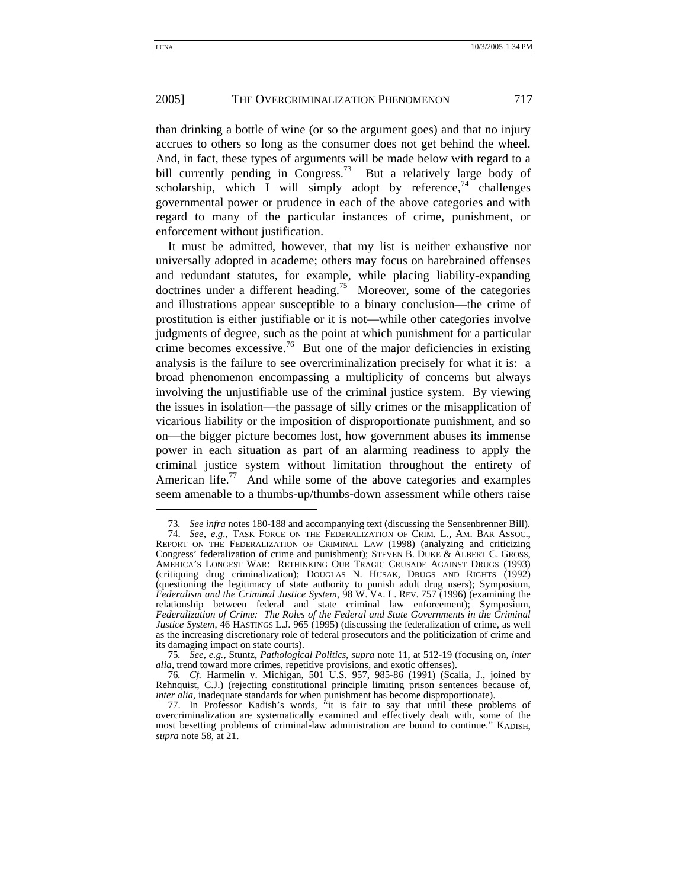than drinking a bottle of wine (or so the argument goes) and that no injury accrues to others so long as the consumer does not get behind the wheel. And, in fact, these types of arguments will be made below with regard to a bill currently pending in Congress.<sup>73</sup> But a relatively large body of scholarship, which I will simply adopt by reference,<sup>74</sup> challenges governmental power or prudence in each of the above categories and with regard to many of the particular instances of crime, punishment, or enforcement without justification.

It must be admitted, however, that my list is neither exhaustive nor universally adopted in academe; others may focus on harebrained offenses and redundant statutes, for example, while placing liability-expanding doctrines under a different heading.<sup>75</sup> Moreover, some of the categories and illustrations appear susceptible to a binary conclusion—the crime of prostitution is either justifiable or it is not—while other categories involve judgments of degree, such as the point at which punishment for a particular crime becomes excessive.<sup>76</sup> But one of the major deficiencies in existing analysis is the failure to see overcriminalization precisely for what it is: a broad phenomenon encompassing a multiplicity of concerns but always involving the unjustifiable use of the criminal justice system. By viewing the issues in isolation—the passage of silly crimes or the misapplication of vicarious liability or the imposition of disproportionate punishment, and so on—the bigger picture becomes lost, how government abuses its immense power in each situation as part of an alarming readiness to apply the criminal justice system without limitation throughout the entirety of American life.<sup>77</sup> And while some of the above categories and examples seem amenable to a thumbs-up/thumbs-down assessment while others raise

<sup>73</sup>*. See infra* notes 180-188 and accompanying text (discussing the Sensenbrenner Bill).

 <sup>74.</sup> *See, e.g.,* TASK FORCE ON THE FEDERALIZATION OF CRIM. L., AM. BAR ASSOC., REPORT ON THE FEDERALIZATION OF CRIMINAL LAW (1998) (analyzing and criticizing Congress' federalization of crime and punishment); STEVEN B. DUKE & ALBERT C. GROSS, AMERICA'S LONGEST WAR: RETHINKING OUR TRAGIC CRUSADE AGAINST DRUGS (1993) (critiquing drug criminalization); DOUGLAS N. HUSAK, DRUGS AND RIGHTS (1992) (questioning the legitimacy of state authority to punish adult drug users); Symposium, *Federalism and the Criminal Justice System*, 98 W. VA. L. REV. 757 (1996) (examining the relationship between federal and state criminal law enforcement); Symposium, *Federalization of Crime: The Roles of the Federal and State Governments in the Criminal Justice System*, 46 HASTINGS L.J. 965 (1995) (discussing the federalization of crime, as well as the increasing discretionary role of federal prosecutors and the politicization of crime and its damaging impact on state courts).

<sup>75</sup>*. See, e.g.,* Stuntz, *Pathological Politics*, *supra* note 11, at 512-19 (focusing on, *inter alia*, trend toward more crimes, repetitive provisions, and exotic offenses).

<sup>76</sup>*. Cf.* Harmelin v. Michigan, 501 U.S. 957, 985-86 (1991) (Scalia, J., joined by Rehnquist, C.J.) (rejecting constitutional principle limiting prison sentences because of, *inter alia*, inadequate standards for when punishment has become disproportionate).

 <sup>77.</sup> In Professor Kadish's words, "it is fair to say that until these problems of overcriminalization are systematically examined and effectively dealt with, some of the most besetting problems of criminal-law administration are bound to continue." KADISH, *supra* note 58, at 21.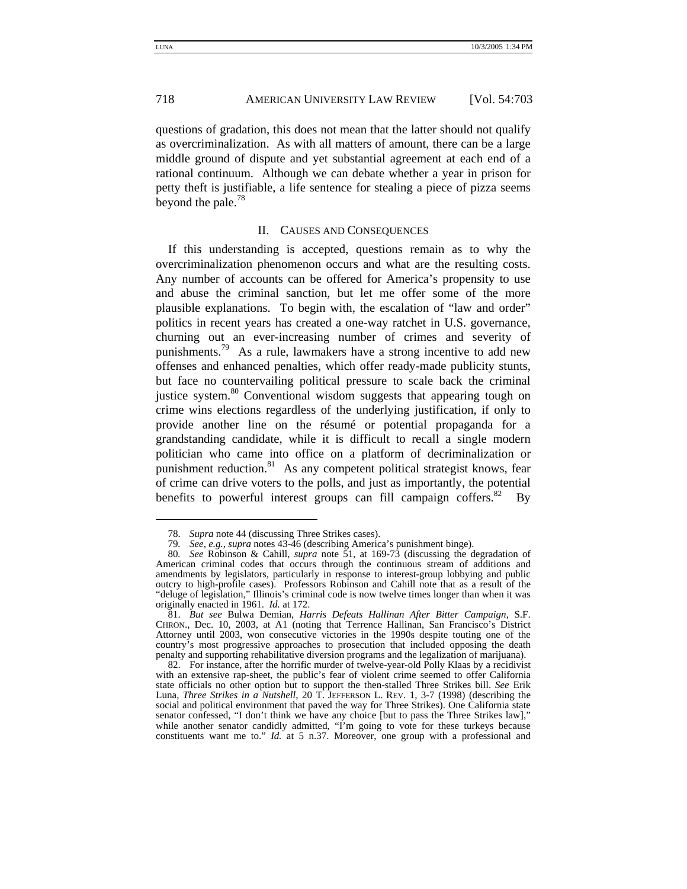questions of gradation, this does not mean that the latter should not qualify as overcriminalization. As with all matters of amount, there can be a large middle ground of dispute and yet substantial agreement at each end of a rational continuum. Although we can debate whether a year in prison for petty theft is justifiable, a life sentence for stealing a piece of pizza seems beyond the pale.<sup>78</sup>

#### II. CAUSES AND CONSEQUENCES

If this understanding is accepted, questions remain as to why the overcriminalization phenomenon occurs and what are the resulting costs. Any number of accounts can be offered for America's propensity to use and abuse the criminal sanction, but let me offer some of the more plausible explanations. To begin with, the escalation of "law and order" politics in recent years has created a one-way ratchet in U.S. governance, churning out an ever-increasing number of crimes and severity of punishments.<sup>79</sup> As a rule, lawmakers have a strong incentive to add new offenses and enhanced penalties, which offer ready-made publicity stunts, but face no countervailing political pressure to scale back the criminal justice system.<sup>80</sup> Conventional wisdom suggests that appearing tough on crime wins elections regardless of the underlying justification, if only to provide another line on the résumé or potential propaganda for a grandstanding candidate, while it is difficult to recall a single modern politician who came into office on a platform of decriminalization or punishment reduction.<sup>81</sup> As any competent political strategist knows, fear of crime can drive voters to the polls, and just as importantly, the potential benefits to powerful interest groups can fill campaign coffers. $82$  By

 <sup>78.</sup> *Supra* note 44 (discussing Three Strikes cases).

<sup>79</sup>*. See, e.g.*, *supra* notes 43-46 (describing America's punishment binge).

<sup>80</sup>*. See* Robinson & Cahill, *supra* note 51, at 169-73 (discussing the degradation of American criminal codes that occurs through the continuous stream of additions and amendments by legislators, particularly in response to interest-group lobbying and public outcry to high-profile cases). Professors Robinson and Cahill note that as a result of the "deluge of legislation," Illinois's criminal code is now twelve times longer than when it was originally enacted in 1961. *Id.* at 172.

 <sup>81.</sup> *But see* Bulwa Demian, *Harris Defeats Hallinan After Bitter Campaign*, S.F. CHRON., Dec. 10, 2003, at A1 (noting that Terrence Hallinan, San Francisco's District Attorney until 2003, won consecutive victories in the 1990s despite touting one of the country's most progressive approaches to prosecution that included opposing the death penalty and supporting rehabilitative diversion programs and the legalization of marijuana).

 <sup>82.</sup> For instance, after the horrific murder of twelve-year-old Polly Klaas by a recidivist with an extensive rap-sheet, the public's fear of violent crime seemed to offer California state officials no other option but to support the then-stalled Three Strikes bill. *See* Erik Luna, *Three Strikes in a Nutshell*, 20 T. JEFFERSON L. REV. 1, 3-7 (1998) (describing the social and political environment that paved the way for Three Strikes). One California state senator confessed, "I don't think we have any choice [but to pass the Three Strikes law]," while another senator candidly admitted, "I'm going to vote for these turkeys because constituents want me to." *Id.* at 5 n.37. Moreover, one group with a professional and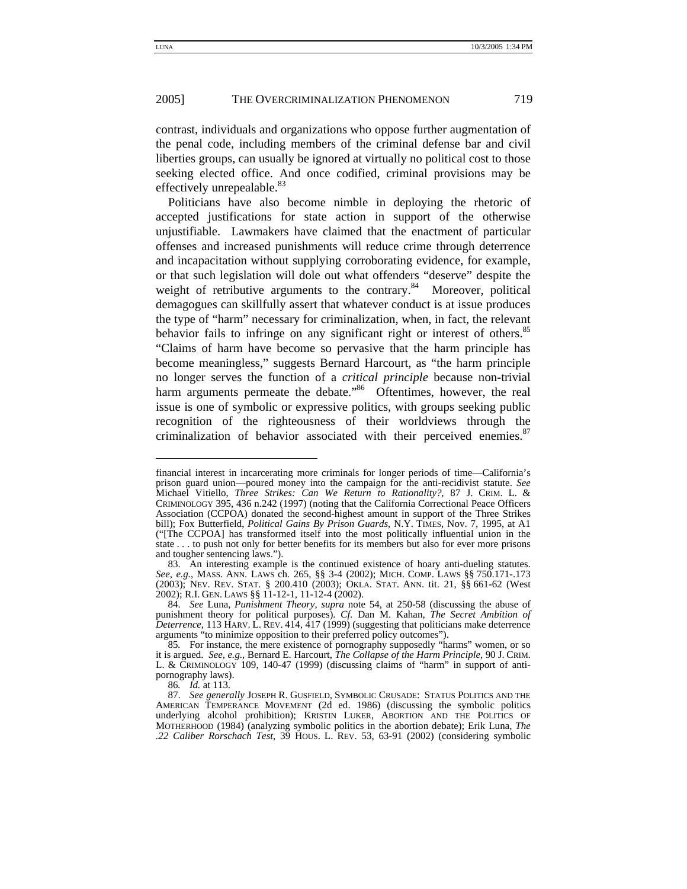contrast, individuals and organizations who oppose further augmentation of the penal code, including members of the criminal defense bar and civil liberties groups, can usually be ignored at virtually no political cost to those seeking elected office. And once codified, criminal provisions may be effectively unrepealable.<sup>83</sup>

Politicians have also become nimble in deploying the rhetoric of accepted justifications for state action in support of the otherwise unjustifiable. Lawmakers have claimed that the enactment of particular offenses and increased punishments will reduce crime through deterrence and incapacitation without supplying corroborating evidence, for example, or that such legislation will dole out what offenders "deserve" despite the weight of retributive arguments to the contrary.<sup>84</sup> Moreover, political demagogues can skillfully assert that whatever conduct is at issue produces the type of "harm" necessary for criminalization, when, in fact, the relevant behavior fails to infringe on any significant right or interest of others.<sup>85</sup> "Claims of harm have become so pervasive that the harm principle has become meaningless," suggests Bernard Harcourt, as "the harm principle no longer serves the function of a *critical principle* because non-trivial harm arguments permeate the debate.<sup>86</sup> Oftentimes, however, the real issue is one of symbolic or expressive politics, with groups seeking public recognition of the righteousness of their worldviews through the criminalization of behavior associated with their perceived enemies. $87$ 

financial interest in incarcerating more criminals for longer periods of time—California's prison guard union—poured money into the campaign for the anti-recidivist statute. *See* Michael Vitiello, *Three Strikes: Can We Return to Rationality?*, 87 J. CRIM. L. & CRIMINOLOGY 395, 436 n.242 (1997) (noting that the California Correctional Peace Officers Association (CCPOA) donated the second-highest amount in support of the Three Strikes bill); Fox Butterfield, *Political Gains By Prison Guards*, N.Y. TIMES, Nov. 7, 1995, at A1 ("[The CCPOA] has transformed itself into the most politically influential union in the state . . . to push not only for better benefits for its members but also for ever more prisons and tougher sentencing laws.").

 <sup>83.</sup> An interesting example is the continued existence of hoary anti-dueling statutes. *See, e.g.*, MASS. ANN. LAWS ch. 265, §§ 3-4 (2002); MICH. COMP. LAWS §§ 750.171-.173 (2003); NEV. REV. STAT. § 200.410 (2003); OKLA. STAT. ANN. tit. 21, §§ 661-62 (West 2002); R.I. GEN. LAWS §§ 11-12-1, 11-12-4 (2002).

 <sup>84.</sup> *See* Luna, *Punishment Theory*, *supra* note 54, at 250-58 (discussing the abuse of punishment theory for political purposes). *Cf.* Dan M. Kahan, *The Secret Ambition of Deterrence*, 113 HARV. L. REV. 414, 417 (1999) (suggesting that politicians make deterrence arguments "to minimize opposition to their preferred policy outcomes").

<sup>85</sup>*.* For instance, the mere existence of pornography supposedly "harms" women, or so it is argued. *See, e.g.*, Bernard E. Harcourt, *The Collapse of the Harm Principle*, 90 J. CRIM. L. & CRIMINOLOGY 109, 140-47 (1999) (discussing claims of "harm" in support of antipornography laws).

<sup>86</sup>*. Id.* at 113.

 <sup>87.</sup> *See generally* JOSEPH R. GUSFIELD, SYMBOLIC CRUSADE: STATUS POLITICS AND THE AMERICAN TEMPERANCE MOVEMENT (2d ed. 1986) (discussing the symbolic politics underlying alcohol prohibition); KRISTIN LUKER, ABORTION AND THE POLITICS OF MOTHERHOOD (1984) (analyzing symbolic politics in the abortion debate); Erik Luna, *The .22 Caliber Rorschach Test*, 39 HOUS. L. REV. 53, 63-91 (2002) (considering symbolic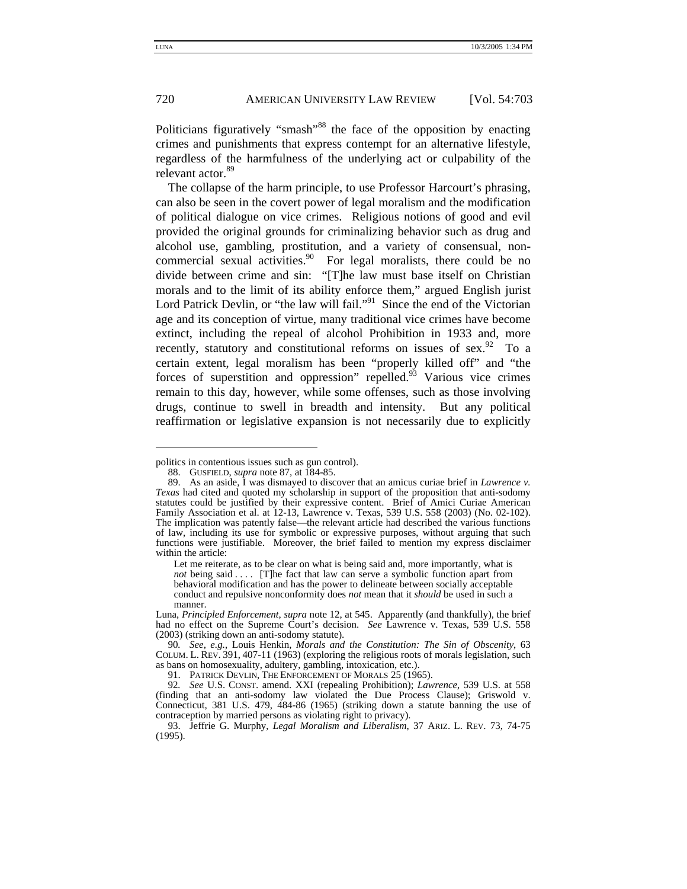-

#### 720 AMERICAN UNIVERSITY LAW REVIEW [Vol. 54:703

Politicians figuratively "smash"<sup>88</sup> the face of the opposition by enacting crimes and punishments that express contempt for an alternative lifestyle, regardless of the harmfulness of the underlying act or culpability of the relevant actor.<sup>89</sup>

The collapse of the harm principle, to use Professor Harcourt's phrasing, can also be seen in the covert power of legal moralism and the modification of political dialogue on vice crimes. Religious notions of good and evil provided the original grounds for criminalizing behavior such as drug and alcohol use, gambling, prostitution, and a variety of consensual, noncommercial sexual activities. $90\degree$  For legal moralists, there could be no divide between crime and sin: "[T]he law must base itself on Christian morals and to the limit of its ability enforce them," argued English jurist Lord Patrick Devlin, or "the law will fail."<sup>91</sup> Since the end of the Victorian age and its conception of virtue, many traditional vice crimes have become extinct, including the repeal of alcohol Prohibition in 1933 and, more recently, statutory and constitutional reforms on issues of sex.  $92$  To a certain extent, legal moralism has been "properly killed off" and "the forces of superstition and oppression" repelled. $93$  Various vice crimes remain to this day, however, while some offenses, such as those involving drugs, continue to swell in breadth and intensity. But any political reaffirmation or legislative expansion is not necessarily due to explicitly

politics in contentious issues such as gun control).

<sup>88.</sup> GUSFIELD, *supra* note 87, at 184-85.

 <sup>89.</sup> As an aside, I was dismayed to discover that an amicus curiae brief in *Lawrence v. Texas* had cited and quoted my scholarship in support of the proposition that anti-sodomy statutes could be justified by their expressive content. Brief of Amici Curiae American Family Association et al. at 12-13, Lawrence v. Texas, 539 U.S. 558 (2003) (No. 02-102). The implication was patently false—the relevant article had described the various functions of law, including its use for symbolic or expressive purposes, without arguing that such functions were justifiable. Moreover, the brief failed to mention my express disclaimer within the article:

Let me reiterate, as to be clear on what is being said and, more importantly, what is *not* being said . . . . [T]he fact that law can serve a symbolic function apart from behavioral modification and has the power to delineate between socially acceptable conduct and repulsive nonconformity does *not* mean that it *should* be used in such a manner. Luna, *Principled Enforcement*, *supra* note 12, at 545. Apparently (and thankfully), the brief

had no effect on the Supreme Court's decision. *See* Lawrence v. Texas, 539 U.S. 558 (2003) (striking down an anti-sodomy statute).

<sup>90</sup>*. See, e.g.*, Louis Henkin, *Morals and the Constitution: The Sin of Obscenity*, 63 COLUM. L. REV. 391, 407-11 (1963) (exploring the religious roots of morals legislation, such as bans on homosexuality, adultery, gambling, intoxication, etc.).

 <sup>91.</sup> PATRICK DEVLIN, THE ENFORCEMENT OF MORALS 25 (1965).

<sup>92</sup>*. See* U.S. CONST. amend. XXI (repealing Prohibition); *Lawrence*, 539 U.S. at 558 (finding that an anti-sodomy law violated the Due Process Clause); Griswold v. Connecticut, 381 U.S. 479, 484-86 (1965) (striking down a statute banning the use of contraception by married persons as violating right to privacy).

 <sup>93.</sup> Jeffrie G. Murphy, *Legal Moralism and Liberalism*, 37 ARIZ. L. REV. 73, 74-75 (1995).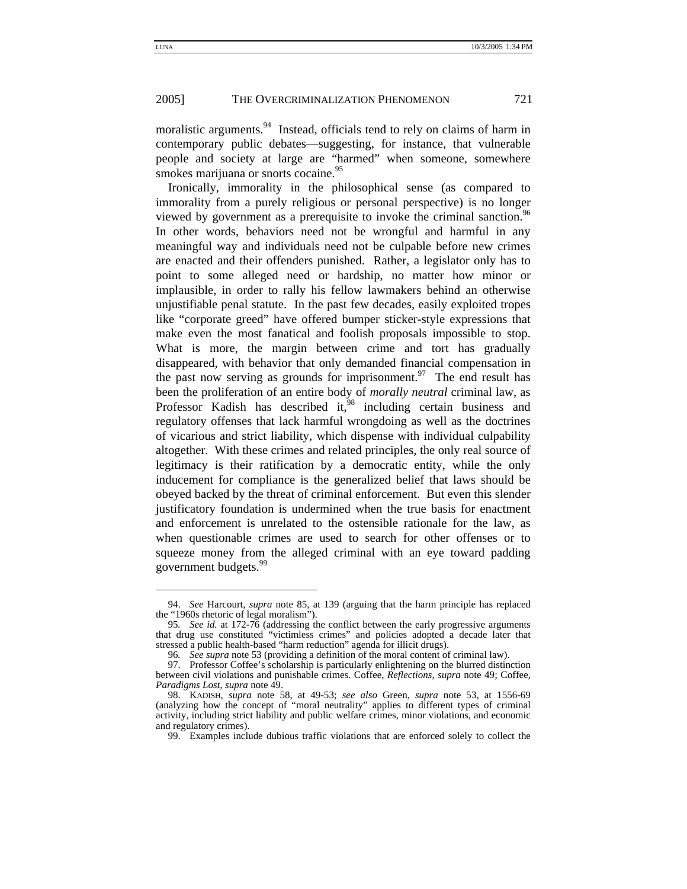moralistic arguments.<sup>94</sup> Instead, officials tend to rely on claims of harm in contemporary public debates—suggesting, for instance, that vulnerable people and society at large are "harmed" when someone, somewhere smokes marijuana or snorts cocaine.<sup>95</sup>

Ironically, immorality in the philosophical sense (as compared to immorality from a purely religious or personal perspective) is no longer viewed by government as a prerequisite to invoke the criminal sanction.<sup>96</sup> In other words, behaviors need not be wrongful and harmful in any meaningful way and individuals need not be culpable before new crimes are enacted and their offenders punished. Rather, a legislator only has to point to some alleged need or hardship, no matter how minor or implausible, in order to rally his fellow lawmakers behind an otherwise unjustifiable penal statute. In the past few decades, easily exploited tropes like "corporate greed" have offered bumper sticker-style expressions that make even the most fanatical and foolish proposals impossible to stop. What is more, the margin between crime and tort has gradually disappeared, with behavior that only demanded financial compensation in the past now serving as grounds for imprisonment.<sup>97</sup> The end result has been the proliferation of an entire body of *morally neutral* criminal law, as Professor Kadish has described it, $98$  including certain business and regulatory offenses that lack harmful wrongdoing as well as the doctrines of vicarious and strict liability, which dispense with individual culpability altogether. With these crimes and related principles, the only real source of legitimacy is their ratification by a democratic entity, while the only inducement for compliance is the generalized belief that laws should be obeyed backed by the threat of criminal enforcement. But even this slender justificatory foundation is undermined when the true basis for enactment and enforcement is unrelated to the ostensible rationale for the law, as when questionable crimes are used to search for other offenses or to squeeze money from the alleged criminal with an eye toward padding government budgets.<sup>99</sup>

 <sup>94.</sup> *See* Harcourt, *supra* note 85, at 139 (arguing that the harm principle has replaced the "1960s rhetoric of legal moralism").

<sup>95</sup>*. See id.* at 172-76 (addressing the conflict between the early progressive arguments that drug use constituted "victimless crimes" and policies adopted a decade later that stressed a public health-based "harm reduction" agenda for illicit drugs).

<sup>96</sup>*. See supra* note 53 (providing a definition of the moral content of criminal law).

<sup>97.</sup> Professor Coffee's scholarship is particularly enlightening on the blurred distinction between civil violations and punishable crimes. Coffee, *Reflections*, *supra* note 49; Coffee, *Paradigms Lost*, *supra* note 49.

 <sup>98.</sup> KADISH, *supra* note 58, at 49-53; *see also* Green, *supra* note 53, at 1556-69 (analyzing how the concept of "moral neutrality" applies to different types of criminal activity, including strict liability and public welfare crimes, minor violations, and economic and regulatory crimes).

 <sup>99.</sup> Examples include dubious traffic violations that are enforced solely to collect the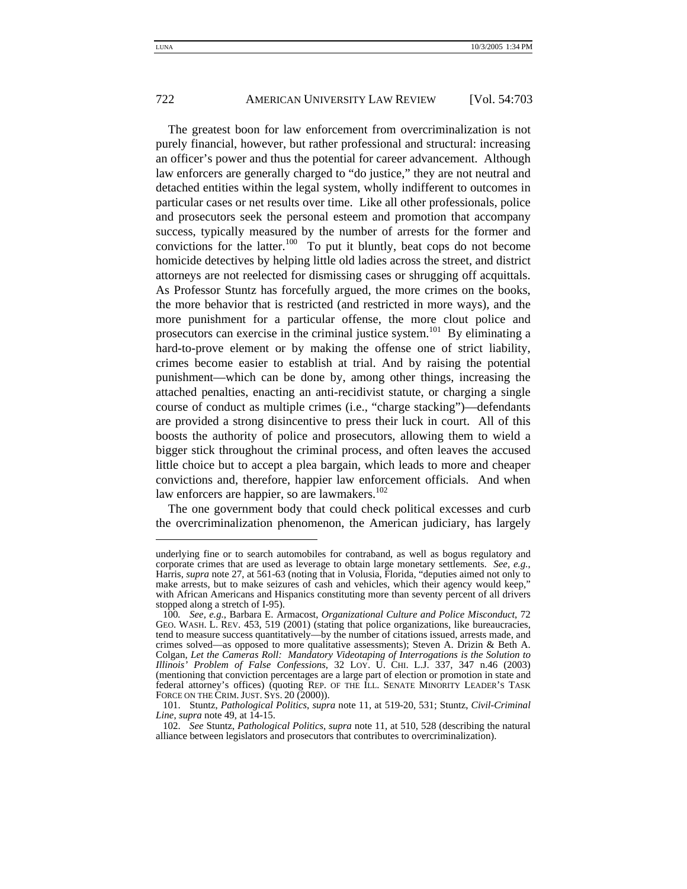-

#### 722 AMERICAN UNIVERSITY LAW REVIEW [Vol. 54:703

The greatest boon for law enforcement from overcriminalization is not purely financial, however, but rather professional and structural: increasing an officer's power and thus the potential for career advancement. Although law enforcers are generally charged to "do justice," they are not neutral and detached entities within the legal system, wholly indifferent to outcomes in particular cases or net results over time. Like all other professionals, police and prosecutors seek the personal esteem and promotion that accompany success, typically measured by the number of arrests for the former and convictions for the latter.<sup>100</sup> To put it bluntly, beat cops do not become homicide detectives by helping little old ladies across the street, and district attorneys are not reelected for dismissing cases or shrugging off acquittals. As Professor Stuntz has forcefully argued, the more crimes on the books, the more behavior that is restricted (and restricted in more ways), and the more punishment for a particular offense, the more clout police and prosecutors can exercise in the criminal justice system.<sup>101</sup> By eliminating a hard-to-prove element or by making the offense one of strict liability, crimes become easier to establish at trial. And by raising the potential punishment—which can be done by, among other things, increasing the attached penalties, enacting an anti-recidivist statute, or charging a single course of conduct as multiple crimes (i.e., "charge stacking")—defendants are provided a strong disincentive to press their luck in court. All of this boosts the authority of police and prosecutors, allowing them to wield a bigger stick throughout the criminal process, and often leaves the accused little choice but to accept a plea bargain, which leads to more and cheaper convictions and, therefore, happier law enforcement officials. And when law enforcers are happier, so are lawmakers.<sup>102</sup>

The one government body that could check political excesses and curb the overcriminalization phenomenon, the American judiciary, has largely

underlying fine or to search automobiles for contraband, as well as bogus regulatory and corporate crimes that are used as leverage to obtain large monetary settlements. *See, e.g.*, Harris, *supra* note 27, at 561-63 (noting that in Volusia, Florida, "deputies aimed not only to make arrests, but to make seizures of cash and vehicles, which their agency would keep," with African Americans and Hispanics constituting more than seventy percent of all drivers stopped along a stretch of I-95).

<sup>100</sup>*. See, e.g.*, Barbara E. Armacost, *Organizational Culture and Police Misconduct*, 72 GEO. WASH. L. REV. 453, 519 (2001) (stating that police organizations, like bureaucracies, tend to measure success quantitatively—by the number of citations issued, arrests made, and crimes solved—as opposed to more qualitative assessments); Steven A. Drizin & Beth A. Colgan, *Let the Cameras Roll: Mandatory Videotaping of Interrogations is the Solution to Illinois' Problem of False Confessions*, 32 LOY. U. CHI. L.J. 337, 347 n.46 (2003) (mentioning that conviction percentages are a large part of election or promotion in state and federal attorney's offices) (quoting REP. OF THE ILL. SENATE MINORITY LEADER'S TASK FORCE ON THE CRIM. JUST. SYS. 20 (2000)).

 <sup>101.</sup> Stuntz, *Pathological Politics*, *supra* note 11, at 519-20, 531; Stuntz, *Civil-Criminal Line*, *supra* note 49, at 14-15.

 <sup>102.</sup> *See* Stuntz, *Pathological Politics*, *supra* note 11, at 510, 528 (describing the natural alliance between legislators and prosecutors that contributes to overcriminalization).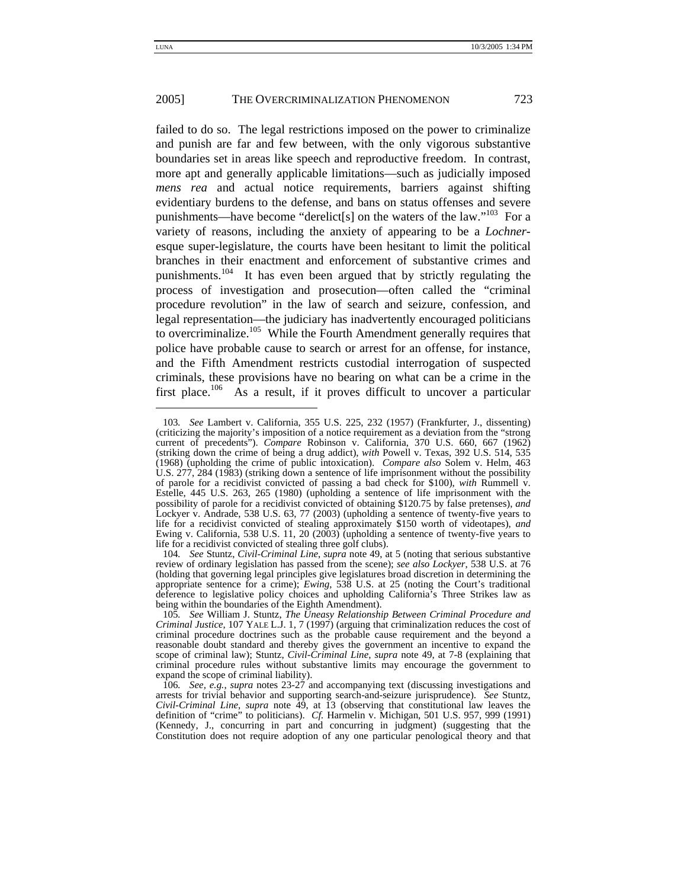failed to do so. The legal restrictions imposed on the power to criminalize and punish are far and few between, with the only vigorous substantive boundaries set in areas like speech and reproductive freedom. In contrast, more apt and generally applicable limitations—such as judicially imposed *mens rea* and actual notice requirements, barriers against shifting evidentiary burdens to the defense, and bans on status offenses and severe punishments—have become "derelict[s] on the waters of the law."<sup>103</sup> For a variety of reasons, including the anxiety of appearing to be a *Lochner*esque super-legislature, the courts have been hesitant to limit the political branches in their enactment and enforcement of substantive crimes and punishments.104 It has even been argued that by strictly regulating the process of investigation and prosecution—often called the "criminal procedure revolution" in the law of search and seizure, confession, and legal representation—the judiciary has inadvertently encouraged politicians to overcriminalize.<sup>105</sup> While the Fourth Amendment generally requires that police have probable cause to search or arrest for an offense, for instance, and the Fifth Amendment restricts custodial interrogation of suspected criminals, these provisions have no bearing on what can be a crime in the first place.<sup>106</sup> As a result, if it proves difficult to uncover a particular

<sup>103</sup>*. See* Lambert v. California, 355 U.S. 225, 232 (1957) (Frankfurter, J., dissenting) (criticizing the majority's imposition of a notice requirement as a deviation from the "strong current of precedents"). *Compare* Robinson v. California, 370 U.S. 660, 667 (1962) (striking down the crime of being a drug addict), *with* Powell v. Texas, 392 U.S. 514, 535 (1968) (upholding the crime of public intoxication). *Compare also* Solem v. Helm, 463 U.S. 277, 284 (1983) (striking down a sentence of life imprisonment without the possibility of parole for a recidivist convicted of passing a bad check for \$100), *with* Rummell v. Estelle, 445 U.S. 263, 265 (1980) (upholding a sentence of life imprisonment with the possibility of parole for a recidivist convicted of obtaining \$120.75 by false pretenses), *and* Lockyer v. Andrade, 538 U.S. 63, 77 (2003) (upholding a sentence of twenty-five years to life for a recidivist convicted of stealing approximately \$150 worth of videotapes), *and* Ewing v. California, 538 U.S. 11, 20 (2003) (upholding a sentence of twenty-five years to life for a recidivist convicted of stealing three golf clubs).

<sup>104</sup>*. See* Stuntz, *Civil-Criminal Line*, *supra* note 49, at 5 (noting that serious substantive review of ordinary legislation has passed from the scene); *see also Lockyer*, 538 U.S. at 76 (holding that governing legal principles give legislatures broad discretion in determining the appropriate sentence for a crime); *Ewing*, 538 U.S. at 25 (noting the Court's traditional deference to legislative policy choices and upholding California's Three Strikes law as being within the boundaries of the Eighth Amendment).

<sup>105</sup>*. See* William J. Stuntz, *The Uneasy Relationship Between Criminal Procedure and Criminal Justice*, 107 YALE L.J. 1, 7 (1997) (arguing that criminalization reduces the cost of criminal procedure doctrines such as the probable cause requirement and the beyond a reasonable doubt standard and thereby gives the government an incentive to expand the scope of criminal law); Stuntz, *Civil-Criminal Line*, *supra* note 49, at 7-8 (explaining that criminal procedure rules without substantive limits may encourage the government to expand the scope of criminal liability).

<sup>106</sup>*. See, e.g.*, *supra* notes 23-27 and accompanying text (discussing investigations and arrests for trivial behavior and supporting search-and-seizure jurisprudence). *See* Stuntz, *Civil-Criminal Line*, *supra* note 49, at 13 (observing that constitutional law leaves the definition of "crime" to politicians). *Cf.* Harmelin v. Michigan, 501 U.S. 957, 999 (1991) (Kennedy, J., concurring in part and concurring in judgment) (suggesting that the Constitution does not require adoption of any one particular penological theory and that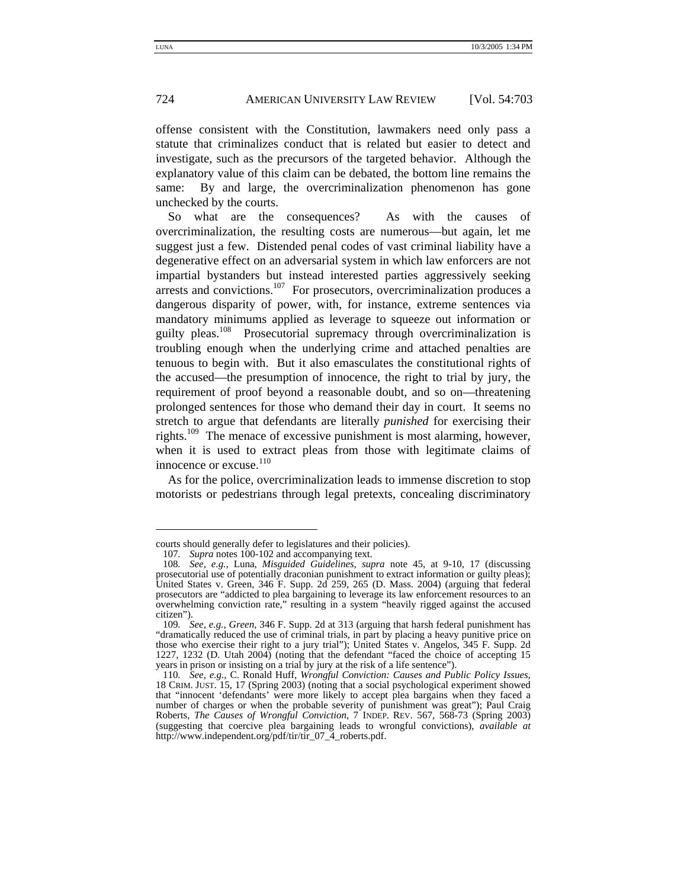offense consistent with the Constitution, lawmakers need only pass a statute that criminalizes conduct that is related but easier to detect and investigate, such as the precursors of the targeted behavior. Although the explanatory value of this claim can be debated, the bottom line remains the same: By and large, the overcriminalization phenomenon has gone unchecked by the courts.

So what are the consequences? As with the causes of overcriminalization, the resulting costs are numerous—but again, let me suggest just a few. Distended penal codes of vast criminal liability have a degenerative effect on an adversarial system in which law enforcers are not impartial bystanders but instead interested parties aggressively seeking arrests and convictions.<sup>107</sup> For prosecutors, overcriminalization produces a dangerous disparity of power, with, for instance, extreme sentences via mandatory minimums applied as leverage to squeeze out information or guilty pleas.<sup>108</sup> Prosecutorial supremacy through overcriminalization is troubling enough when the underlying crime and attached penalties are tenuous to begin with. But it also emasculates the constitutional rights of the accused—the presumption of innocence, the right to trial by jury, the requirement of proof beyond a reasonable doubt, and so on—threatening prolonged sentences for those who demand their day in court. It seems no stretch to argue that defendants are literally *punished* for exercising their rights.<sup>109</sup> The menace of excessive punishment is most alarming, however, when it is used to extract pleas from those with legitimate claims of innocence or excuse. $110$ 

As for the police, overcriminalization leads to immense discretion to stop motorists or pedestrians through legal pretexts, concealing discriminatory

courts should generally defer to legislatures and their policies).

<sup>107</sup>*. Supra* notes 100-102 and accompanying text.

<sup>108</sup>*. See, e.g.,* Luna, *Misguided Guidelines*, *supra* note 45, at 9-10, 17 (discussing prosecutorial use of potentially draconian punishment to extract information or guilty pleas); United States v. Green, 346 F. Supp. 2d 259, 265 (D. Mass. 2004) (arguing that federal prosecutors are "addicted to plea bargaining to leverage its law enforcement resources to an overwhelming conviction rate," resulting in a system "heavily rigged against the accused citizen").

<sup>109</sup>*. See, e.g., Green*, 346 F. Supp. 2d at 313 (arguing that harsh federal punishment has "dramatically reduced the use of criminal trials, in part by placing a heavy punitive price on those who exercise their right to a jury trial"); United States v. Angelos, 345 F. Supp. 2d 1227, 1232 (D. Utah 2004) (noting that the defendant "faced the choice of accepting 15 years in prison or insisting on a trial by jury at the risk of a life sentence").

<sup>110</sup>*. See, e.g.,* C. Ronald Huff, *Wrongful Conviction: Causes and Public Policy Issues*, 18 CRIM. JUST. 15, 17 (Spring 2003) (noting that a social psychological experiment showed that "innocent 'defendants' were more likely to accept plea bargains when they faced a number of charges or when the probable severity of punishment was great"); Paul Craig Roberts, *The Causes of Wrongful Conviction*, 7 INDEP. REV. 567, 568-73 (Spring 2003) (suggesting that coercive plea bargaining leads to wrongful convictions), *available at* http://www.independent.org/pdf/tir/tir\_07\_4\_roberts.pdf.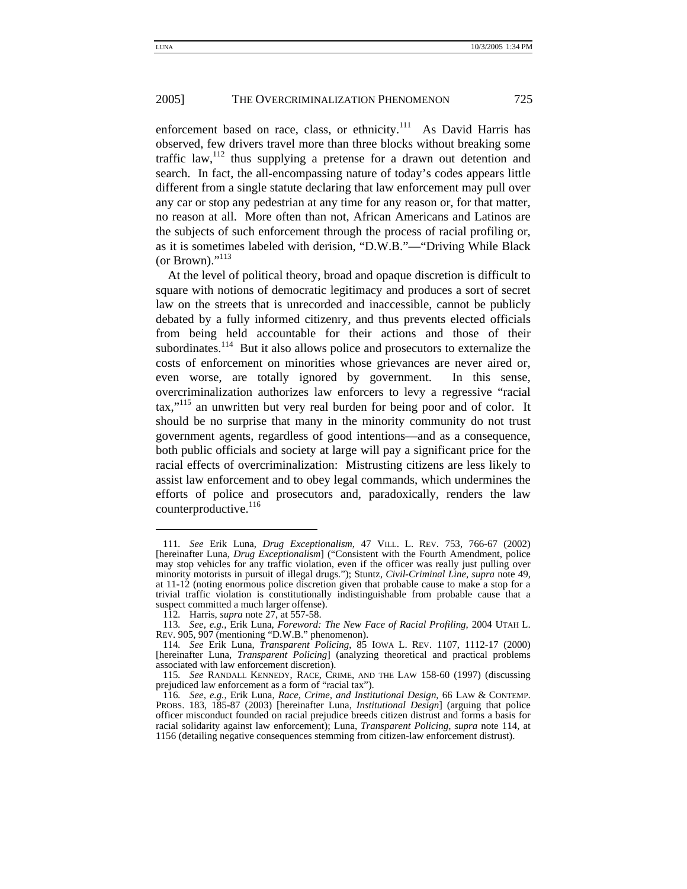enforcement based on race, class, or ethnicity.<sup>111</sup> As David Harris has observed, few drivers travel more than three blocks without breaking some traffic law,  $12$  thus supplying a pretense for a drawn out detention and search. In fact, the all-encompassing nature of today's codes appears little different from a single statute declaring that law enforcement may pull over any car or stop any pedestrian at any time for any reason or, for that matter, no reason at all. More often than not, African Americans and Latinos are the subjects of such enforcement through the process of racial profiling or, as it is sometimes labeled with derision, "D.W.B."—"Driving While Black (or Brown)." $^{113}$ 

At the level of political theory, broad and opaque discretion is difficult to square with notions of democratic legitimacy and produces a sort of secret law on the streets that is unrecorded and inaccessible, cannot be publicly debated by a fully informed citizenry, and thus prevents elected officials from being held accountable for their actions and those of their subordinates.<sup>114</sup> But it also allows police and prosecutors to externalize the costs of enforcement on minorities whose grievances are never aired or, even worse, are totally ignored by government. In this sense, overcriminalization authorizes law enforcers to levy a regressive "racial tax,"115 an unwritten but very real burden for being poor and of color. It should be no surprise that many in the minority community do not trust government agents, regardless of good intentions—and as a consequence, both public officials and society at large will pay a significant price for the racial effects of overcriminalization: Mistrusting citizens are less likely to assist law enforcement and to obey legal commands, which undermines the efforts of police and prosecutors and, paradoxically, renders the law counterproductive. $116$ 

<sup>111</sup>*. See* Erik Luna, *Drug Exceptionalism*, 47 VILL. L. REV. 753, 766-67 (2002) [hereinafter Luna, *Drug Exceptionalism*] ("Consistent with the Fourth Amendment, police may stop vehicles for any traffic violation, even if the officer was really just pulling over minority motorists in pursuit of illegal drugs."); Stuntz, *Civil-Criminal Line*, *supra* note 49, at 11-12 (noting enormous police discretion given that probable cause to make a stop for a trivial traffic violation is constitutionally indistinguishable from probable cause that a suspect committed a much larger offense).

<sup>112</sup>*.* Harris, *supra* note 27, at 557-58.

<sup>113</sup>*. See, e.g.,* Erik Luna, *Foreword: The New Face of Racial Profiling*, 2004 UTAH L. REV. 905, 907 (mentioning "D.W.B." phenomenon).

<sup>114</sup>*. See* Erik Luna, *Transparent Policing*, 85 IOWA L. REV. 1107, 1112-17 (2000) [hereinafter Luna, *Transparent Policing*] (analyzing theoretical and practical problems associated with law enforcement discretion).

<sup>115</sup>*. See* RANDALL KENNEDY, RACE, CRIME, AND THE LAW 158-60 (1997) (discussing prejudiced law enforcement as a form of "racial tax").

<sup>116</sup>*. See, e.g.*, Erik Luna, *Race, Crime, and Institutional Design*, 66 LAW & CONTEMP. PROBS. 183, 185-87 (2003) [hereinafter Luna, *Institutional Design*] (arguing that police officer misconduct founded on racial prejudice breeds citizen distrust and forms a basis for racial solidarity against law enforcement); Luna, *Transparent Policing*, *supra* note 114, at 1156 (detailing negative consequences stemming from citizen-law enforcement distrust).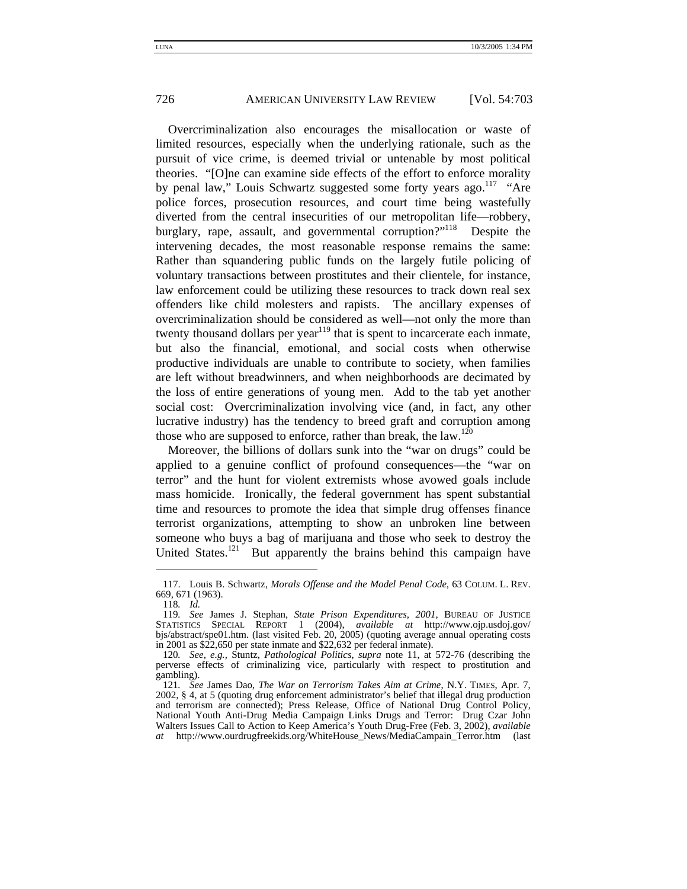Overcriminalization also encourages the misallocation or waste of limited resources, especially when the underlying rationale, such as the pursuit of vice crime, is deemed trivial or untenable by most political theories. "[O]ne can examine side effects of the effort to enforce morality by penal law," Louis Schwartz suggested some forty years ago.<sup>117</sup> "Are police forces, prosecution resources, and court time being wastefully diverted from the central insecurities of our metropolitan life—robbery, burglary, rape, assault, and governmental corruption?"<sup>118</sup> Despite the intervening decades, the most reasonable response remains the same: Rather than squandering public funds on the largely futile policing of voluntary transactions between prostitutes and their clientele, for instance, law enforcement could be utilizing these resources to track down real sex offenders like child molesters and rapists. The ancillary expenses of overcriminalization should be considered as well—not only the more than twenty thousand dollars per year<sup>119</sup> that is spent to incarcerate each inmate, but also the financial, emotional, and social costs when otherwise productive individuals are unable to contribute to society, when families are left without breadwinners, and when neighborhoods are decimated by the loss of entire generations of young men. Add to the tab yet another social cost: Overcriminalization involving vice (and, in fact, any other lucrative industry) has the tendency to breed graft and corruption among those who are supposed to enforce, rather than break, the law.<sup>120</sup>

Moreover, the billions of dollars sunk into the "war on drugs" could be applied to a genuine conflict of profound consequences—the "war on terror" and the hunt for violent extremists whose avowed goals include mass homicide. Ironically, the federal government has spent substantial time and resources to promote the idea that simple drug offenses finance terrorist organizations, attempting to show an unbroken line between someone who buys a bag of marijuana and those who seek to destroy the United States.<sup>121</sup> But apparently the brains behind this campaign have

 <sup>117.</sup> Louis B. Schwartz, *Morals Offense and the Model Penal Code*, 63 COLUM. L. REV. 669, 671 (1963).

<sup>118</sup>*. Id.*

<sup>119</sup>*. See* James J. Stephan, *State Prison Expenditures, 2001*, BUREAU OF JUSTICE STATISTICS SPECIAL REPORT 1 (2004), *available at* http://www.ojp.usdoj.gov/ bjs/abstract/spe01.htm. (last visited Feb. 20, 2005) (quoting average annual operating costs in 2001 as \$22,650 per state inmate and \$22,632 per federal inmate).

<sup>120</sup>*. See, e.g.,* Stuntz, *Pathological Politics*, *supra* note 11, at 572-76 (describing the perverse effects of criminalizing vice, particularly with respect to prostitution and gambling).

<sup>121</sup>*. See* James Dao, *The War on Terrorism Takes Aim at Crime*, N.Y. TIMES, Apr. 7, 2002, § 4, at 5 (quoting drug enforcement administrator's belief that illegal drug production and terrorism are connected); Press Release, Office of National Drug Control Policy, National Youth Anti-Drug Media Campaign Links Drugs and Terror: Drug Czar John Walters Issues Call to Action to Keep America's Youth Drug-Free (Feb. 3, 2002), *available at* http://www.ourdrugfreekids.org/WhiteHouse\_News/MediaCampain\_Terror.htm (last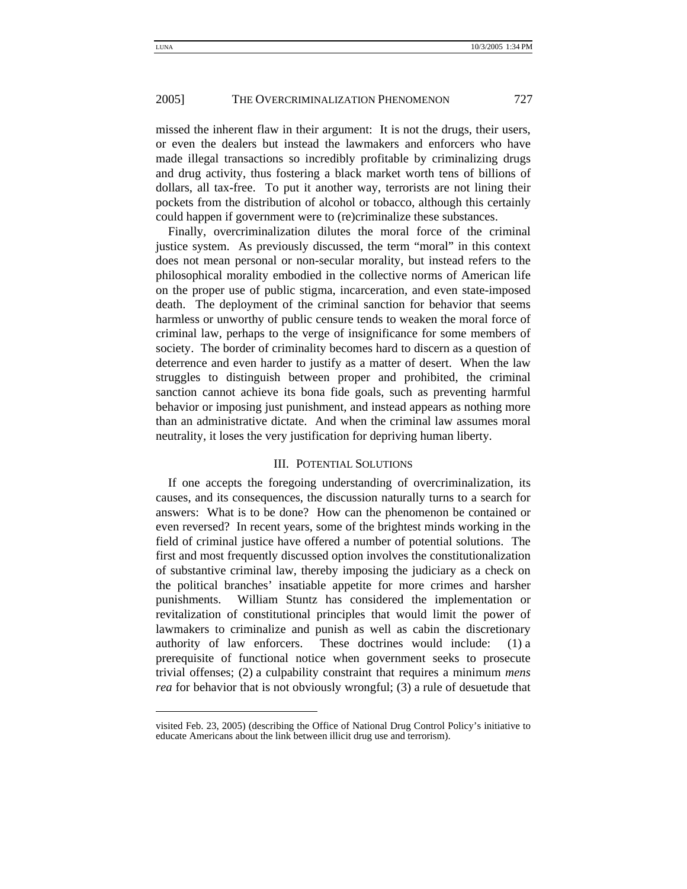missed the inherent flaw in their argument: It is not the drugs, their users, or even the dealers but instead the lawmakers and enforcers who have made illegal transactions so incredibly profitable by criminalizing drugs and drug activity, thus fostering a black market worth tens of billions of dollars, all tax-free. To put it another way, terrorists are not lining their pockets from the distribution of alcohol or tobacco, although this certainly could happen if government were to (re)criminalize these substances.

Finally, overcriminalization dilutes the moral force of the criminal justice system. As previously discussed, the term "moral" in this context does not mean personal or non-secular morality, but instead refers to the philosophical morality embodied in the collective norms of American life on the proper use of public stigma, incarceration, and even state-imposed death. The deployment of the criminal sanction for behavior that seems harmless or unworthy of public censure tends to weaken the moral force of criminal law, perhaps to the verge of insignificance for some members of society. The border of criminality becomes hard to discern as a question of deterrence and even harder to justify as a matter of desert. When the law struggles to distinguish between proper and prohibited, the criminal sanction cannot achieve its bona fide goals, such as preventing harmful behavior or imposing just punishment, and instead appears as nothing more than an administrative dictate. And when the criminal law assumes moral neutrality, it loses the very justification for depriving human liberty.

#### III. POTENTIAL SOLUTIONS

If one accepts the foregoing understanding of overcriminalization, its causes, and its consequences, the discussion naturally turns to a search for answers: What is to be done? How can the phenomenon be contained or even reversed? In recent years, some of the brightest minds working in the field of criminal justice have offered a number of potential solutions. The first and most frequently discussed option involves the constitutionalization of substantive criminal law, thereby imposing the judiciary as a check on the political branches' insatiable appetite for more crimes and harsher punishments. William Stuntz has considered the implementation or revitalization of constitutional principles that would limit the power of lawmakers to criminalize and punish as well as cabin the discretionary authority of law enforcers. These doctrines would include: (1) a prerequisite of functional notice when government seeks to prosecute trivial offenses; (2) a culpability constraint that requires a minimum *mens rea* for behavior that is not obviously wrongful; (3) a rule of desuetude that

visited Feb. 23, 2005) (describing the Office of National Drug Control Policy's initiative to educate Americans about the link between illicit drug use and terrorism).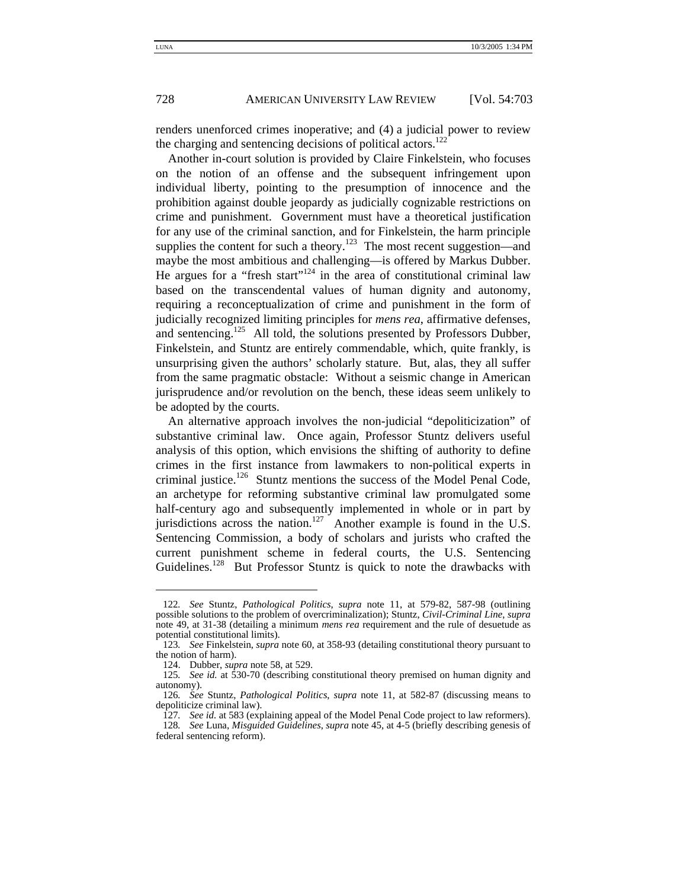renders unenforced crimes inoperative; and (4) a judicial power to review the charging and sentencing decisions of political actors.<sup>122</sup>

Another in-court solution is provided by Claire Finkelstein, who focuses on the notion of an offense and the subsequent infringement upon individual liberty, pointing to the presumption of innocence and the prohibition against double jeopardy as judicially cognizable restrictions on crime and punishment. Government must have a theoretical justification for any use of the criminal sanction, and for Finkelstein, the harm principle supplies the content for such a theory.<sup>123</sup> The most recent suggestion—and maybe the most ambitious and challenging—is offered by Markus Dubber. He argues for a "fresh start"<sup>124</sup> in the area of constitutional criminal law based on the transcendental values of human dignity and autonomy, requiring a reconceptualization of crime and punishment in the form of judicially recognized limiting principles for *mens rea*, affirmative defenses, and sentencing.<sup>125</sup> All told, the solutions presented by Professors Dubber, Finkelstein, and Stuntz are entirely commendable, which, quite frankly, is unsurprising given the authors' scholarly stature. But, alas, they all suffer from the same pragmatic obstacle: Without a seismic change in American jurisprudence and/or revolution on the bench, these ideas seem unlikely to be adopted by the courts.

An alternative approach involves the non-judicial "depoliticization" of substantive criminal law. Once again, Professor Stuntz delivers useful analysis of this option, which envisions the shifting of authority to define crimes in the first instance from lawmakers to non-political experts in criminal justice.<sup>126</sup> Stuntz mentions the success of the Model Penal Code, an archetype for reforming substantive criminal law promulgated some half-century ago and subsequently implemented in whole or in part by jurisdictions across the nation.<sup>127</sup> Another example is found in the U.S. Sentencing Commission, a body of scholars and jurists who crafted the current punishment scheme in federal courts, the U.S. Sentencing Guidelines.<sup>128</sup> But Professor Stuntz is quick to note the drawbacks with

<sup>122</sup>*. See* Stuntz, *Pathological Politics*, *supra* note 11, at 579-82, 587-98 (outlining possible solutions to the problem of overcriminalization); Stuntz, *Civil-Criminal Line*, *supra* note 49, at 31-38 (detailing a minimum *mens rea* requirement and the rule of desuetude as potential constitutional limits).

<sup>123</sup>*. See* Finkelstein, *supra* note 60, at 358-93 (detailing constitutional theory pursuant to the notion of harm).

 <sup>124.</sup> Dubber, *supra* note 58, at 529.

<sup>125</sup>*. See id.* at 530-70 (describing constitutional theory premised on human dignity and autonomy).

<sup>126</sup>*. See* Stuntz, *Pathological Politics*, *supra* note 11, at 582-87 (discussing means to depoliticize criminal law).

<sup>127</sup>*. See id.* at 583 (explaining appeal of the Model Penal Code project to law reformers).

<sup>128</sup>*. See* Luna, *Misguided Guidelines*, *supra* note 45, at 4-5 (briefly describing genesis of federal sentencing reform).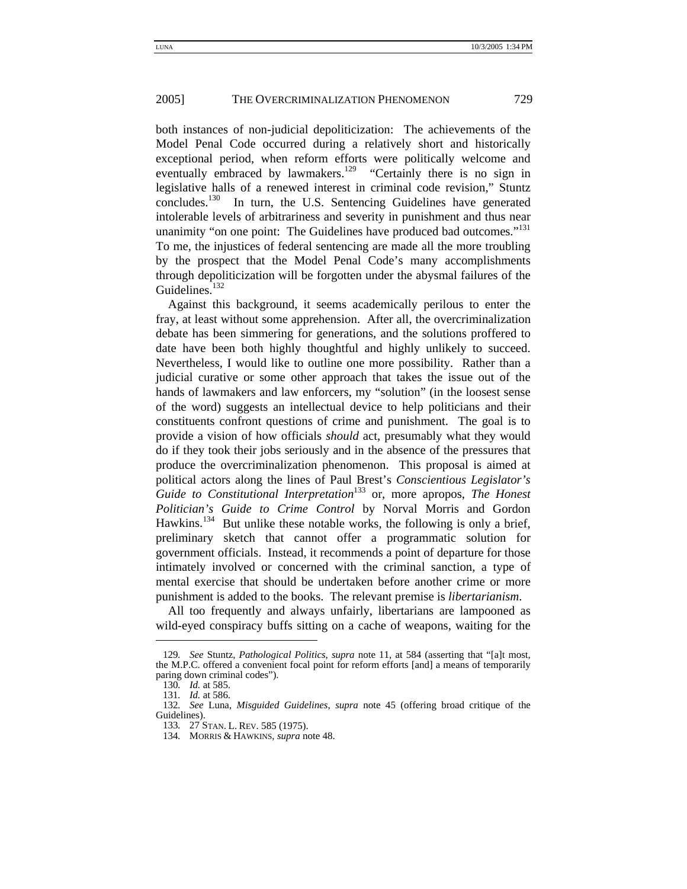both instances of non-judicial depoliticization: The achievements of the Model Penal Code occurred during a relatively short and historically exceptional period, when reform efforts were politically welcome and eventually embraced by lawmakers.<sup>129</sup> "Certainly there is no sign in legislative halls of a renewed interest in criminal code revision," Stuntz concludes.<sup>130</sup> In turn, the U.S. Sentencing Guidelines have generated intolerable levels of arbitrariness and severity in punishment and thus near unanimity "on one point: The Guidelines have produced bad outcomes."<sup>131</sup> To me, the injustices of federal sentencing are made all the more troubling by the prospect that the Model Penal Code's many accomplishments through depoliticization will be forgotten under the abysmal failures of the Guidelines.<sup>132</sup>

Against this background, it seems academically perilous to enter the fray, at least without some apprehension. After all, the overcriminalization debate has been simmering for generations, and the solutions proffered to date have been both highly thoughtful and highly unlikely to succeed. Nevertheless, I would like to outline one more possibility. Rather than a judicial curative or some other approach that takes the issue out of the hands of lawmakers and law enforcers, my "solution" (in the loosest sense of the word) suggests an intellectual device to help politicians and their constituents confront questions of crime and punishment. The goal is to provide a vision of how officials *should* act, presumably what they would do if they took their jobs seriously and in the absence of the pressures that produce the overcriminalization phenomenon. This proposal is aimed at political actors along the lines of Paul Brest's *Conscientious Legislator's Guide to Constitutional Interpretation*<sup>133</sup> or, more apropos, *The Honest Politician's Guide to Crime Control* by Norval Morris and Gordon Hawkins.<sup>134</sup> But unlike these notable works, the following is only a brief, preliminary sketch that cannot offer a programmatic solution for government officials. Instead, it recommends a point of departure for those intimately involved or concerned with the criminal sanction, a type of mental exercise that should be undertaken before another crime or more punishment is added to the books. The relevant premise is *libertarianism*.

All too frequently and always unfairly, libertarians are lampooned as wild-eyed conspiracy buffs sitting on a cache of weapons, waiting for the

<sup>129</sup>*. See* Stuntz, *Pathological Politics*, *supra* note 11, at 584 (asserting that "[a]t most, the M.P.C. offered a convenient focal point for reform efforts [and] a means of temporarily paring down criminal codes").

<sup>130</sup>*. Id.* at 585.

<sup>131</sup>*. Id.* at 586.

<sup>132</sup>*. See* Luna, *Misguided Guidelines*, *supra* note 45 (offering broad critique of the Guidelines).

<sup>133</sup>*.* 27 STAN. L. REV. 585 (1975).

<sup>134</sup>*.* MORRIS & HAWKINS, *supra* note 48.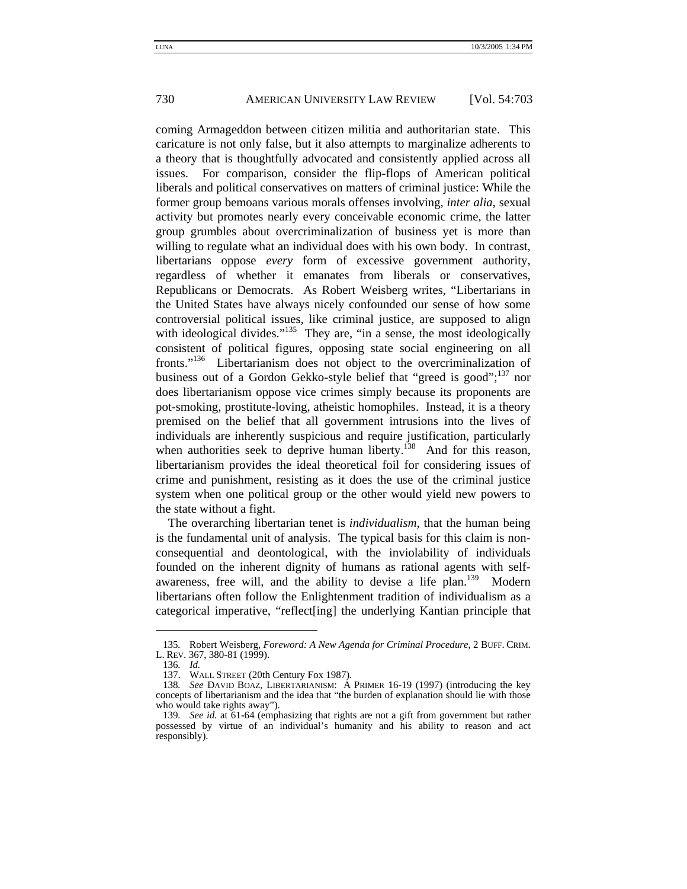coming Armageddon between citizen militia and authoritarian state. This caricature is not only false, but it also attempts to marginalize adherents to a theory that is thoughtfully advocated and consistently applied across all issues. For comparison, consider the flip-flops of American political liberals and political conservatives on matters of criminal justice: While the former group bemoans various morals offenses involving, *inter alia*, sexual activity but promotes nearly every conceivable economic crime, the latter group grumbles about overcriminalization of business yet is more than willing to regulate what an individual does with his own body. In contrast, libertarians oppose *every* form of excessive government authority, regardless of whether it emanates from liberals or conservatives, Republicans or Democrats. As Robert Weisberg writes, "Libertarians in the United States have always nicely confounded our sense of how some controversial political issues, like criminal justice, are supposed to align with ideological divides."<sup>135</sup> They are, "in a sense, the most ideologically consistent of political figures, opposing state social engineering on all fronts."<sup>136</sup> Libertarianism does not object to the overcriminalization of business out of a Gordon Gekko-style belief that "greed is good"; $^{137}$  nor does libertarianism oppose vice crimes simply because its proponents are pot-smoking, prostitute-loving, atheistic homophiles. Instead, it is a theory premised on the belief that all government intrusions into the lives of individuals are inherently suspicious and require justification, particularly when authorities seek to deprive human liberty.<sup>138</sup> And for this reason, libertarianism provides the ideal theoretical foil for considering issues of crime and punishment, resisting as it does the use of the criminal justice system when one political group or the other would yield new powers to the state without a fight.

The overarching libertarian tenet is *individualism*, that the human being is the fundamental unit of analysis. The typical basis for this claim is nonconsequential and deontological, with the inviolability of individuals founded on the inherent dignity of humans as rational agents with selfawareness, free will, and the ability to devise a life plan.<sup>139</sup> Modern libertarians often follow the Enlightenment tradition of individualism as a categorical imperative, "reflect[ing] the underlying Kantian principle that

<sup>135</sup>*.* Robert Weisberg, *Foreword: A New Agenda for Criminal Procedure*, 2 BUFF. CRIM. L. REV. 367, 380-81 (1999).

<sup>136</sup>*. Id.*

 <sup>137.</sup> WALL STREET (20th Century Fox 1987).

<sup>138</sup>*. See* DAVID BOAZ, LIBERTARIANISM: A PRIMER 16-19 (1997) (introducing the key concepts of libertarianism and the idea that "the burden of explanation should lie with those who would take rights away").

<sup>139</sup>*. See id.* at 61-64 (emphasizing that rights are not a gift from government but rather possessed by virtue of an individual's humanity and his ability to reason and act responsibly).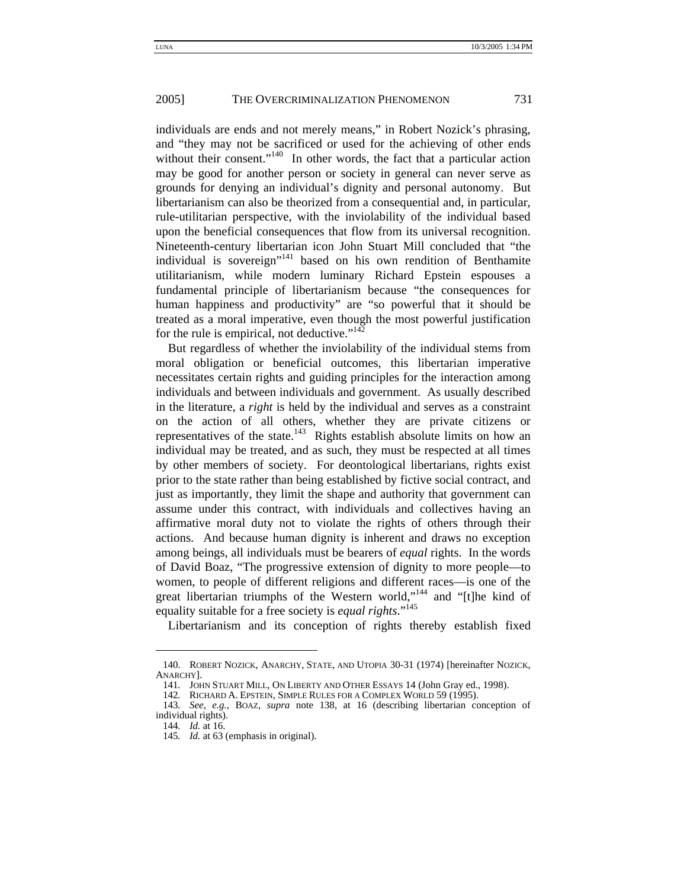individuals are ends and not merely means," in Robert Nozick's phrasing, and "they may not be sacrificed or used for the achieving of other ends without their consent."<sup>140</sup> In other words, the fact that a particular action may be good for another person or society in general can never serve as grounds for denying an individual's dignity and personal autonomy. But libertarianism can also be theorized from a consequential and, in particular, rule-utilitarian perspective, with the inviolability of the individual based upon the beneficial consequences that flow from its universal recognition. Nineteenth-century libertarian icon John Stuart Mill concluded that "the individual is sovereign"<sup>141</sup> based on his own rendition of Benthamite utilitarianism, while modern luminary Richard Epstein espouses a fundamental principle of libertarianism because "the consequences for human happiness and productivity" are "so powerful that it should be treated as a moral imperative, even though the most powerful justification for the rule is empirical, not deductive." $142$ 

But regardless of whether the inviolability of the individual stems from moral obligation or beneficial outcomes, this libertarian imperative necessitates certain rights and guiding principles for the interaction among individuals and between individuals and government. As usually described in the literature, a *right* is held by the individual and serves as a constraint on the action of all others, whether they are private citizens or representatives of the state.<sup>143</sup> Rights establish absolute limits on how an individual may be treated, and as such, they must be respected at all times by other members of society. For deontological libertarians, rights exist prior to the state rather than being established by fictive social contract, and just as importantly, they limit the shape and authority that government can assume under this contract, with individuals and collectives having an affirmative moral duty not to violate the rights of others through their actions. And because human dignity is inherent and draws no exception among beings, all individuals must be bearers of *equal* rights. In the words of David Boaz, "The progressive extension of dignity to more people—to women, to people of different religions and different races—is one of the great libertarian triumphs of the Western world,"<sup>144</sup> and "[t]he kind of equality suitable for a free society is *equal rights*."145

Libertarianism and its conception of rights thereby establish fixed

 <sup>140.</sup> ROBERT NOZICK, ANARCHY, STATE, AND UTOPIA 30-31 (1974) [hereinafter NOZICK, ANARCHY].

<sup>141</sup>*.* JOHN STUART MILL, ON LIBERTY AND OTHER ESSAYS 14 (John Gray ed., 1998). 142*.* RICHARD A. EPSTEIN, SIMPLE RULES FOR A COMPLEX WORLD 59 (1995).

<sup>143</sup>*. See, e.g.*, BOAZ, *supra* note 138, at 16 (describing libertarian conception of individual rights).

<sup>144</sup>*. Id.* at 16.

<sup>145</sup>*. Id.* at 63 (emphasis in original).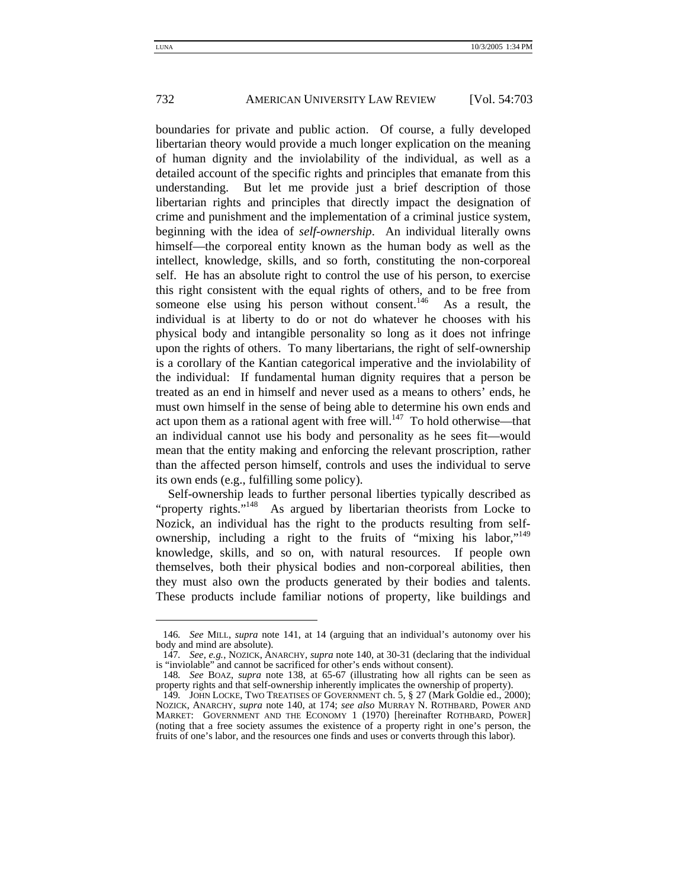boundaries for private and public action. Of course, a fully developed libertarian theory would provide a much longer explication on the meaning of human dignity and the inviolability of the individual, as well as a detailed account of the specific rights and principles that emanate from this understanding. But let me provide just a brief description of those libertarian rights and principles that directly impact the designation of crime and punishment and the implementation of a criminal justice system, beginning with the idea of *self-ownership*. An individual literally owns himself—the corporeal entity known as the human body as well as the intellect, knowledge, skills, and so forth, constituting the non-corporeal self. He has an absolute right to control the use of his person, to exercise this right consistent with the equal rights of others, and to be free from someone else using his person without consent.<sup>146</sup> As a result, the individual is at liberty to do or not do whatever he chooses with his physical body and intangible personality so long as it does not infringe upon the rights of others. To many libertarians, the right of self-ownership is a corollary of the Kantian categorical imperative and the inviolability of the individual: If fundamental human dignity requires that a person be treated as an end in himself and never used as a means to others' ends, he must own himself in the sense of being able to determine his own ends and act upon them as a rational agent with free will. $147$  To hold otherwise—that an individual cannot use his body and personality as he sees fit—would mean that the entity making and enforcing the relevant proscription, rather than the affected person himself, controls and uses the individual to serve its own ends (e.g., fulfilling some policy).

Self-ownership leads to further personal liberties typically described as "property rights."<sup>148</sup> As argued by libertarian theorists from Locke to Nozick, an individual has the right to the products resulting from selfownership, including a right to the fruits of "mixing his labor,"<sup>149</sup> knowledge, skills, and so on, with natural resources. If people own themselves, both their physical bodies and non-corporeal abilities, then they must also own the products generated by their bodies and talents. These products include familiar notions of property, like buildings and

<sup>146</sup>*. See* MILL, *supra* note 141, at 14 (arguing that an individual's autonomy over his body and mind are absolute).

<sup>147</sup>*. See, e.g.*, NOZICK, ANARCHY, *supra* note 140, at 30-31 (declaring that the individual is "inviolable" and cannot be sacrificed for other's ends without consent).

<sup>148</sup>*. See* BOAZ, *supra* note 138, at 65-67 (illustrating how all rights can be seen as property rights and that self-ownership inherently implicates the ownership of property).

<sup>149</sup>*.* JOHN LOCKE, TWO TREATISES OF GOVERNMENT ch. 5, § 27 (Mark Goldie ed., 2000); NOZICK, ANARCHY, *supra* note 140, at 174; *see also* MURRAY N. ROTHBARD, POWER AND MARKET: GOVERNMENT AND THE ECONOMY 1 (1970) [hereinafter ROTHBARD, POWER] (noting that a free society assumes the existence of a property right in one's person, the fruits of one's labor, and the resources one finds and uses or converts through this labor).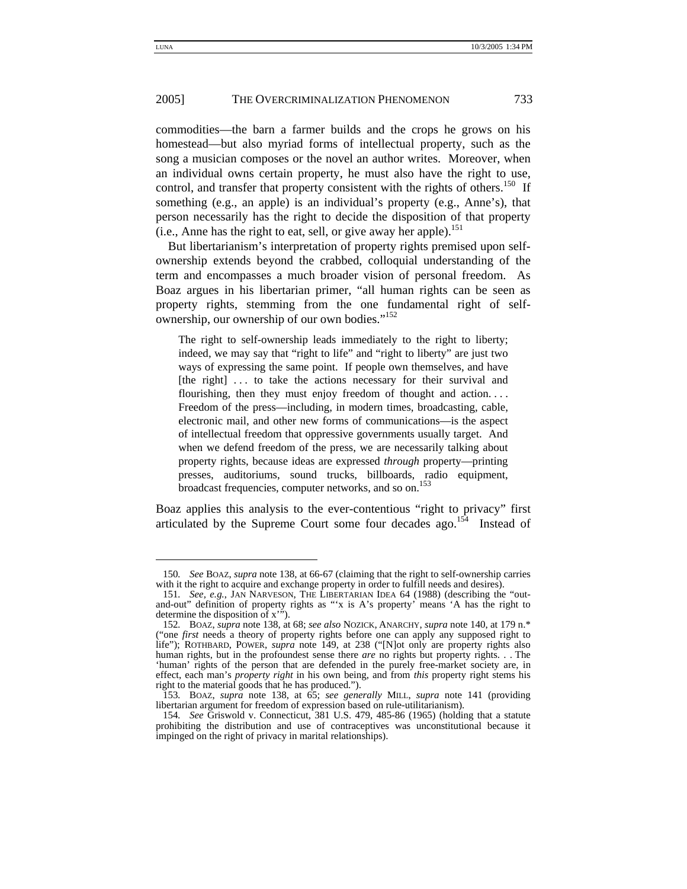commodities—the barn a farmer builds and the crops he grows on his homestead—but also myriad forms of intellectual property, such as the song a musician composes or the novel an author writes. Moreover, when an individual owns certain property, he must also have the right to use, control, and transfer that property consistent with the rights of others.<sup>150</sup> If something (e.g., an apple) is an individual's property (e.g., Anne's), that person necessarily has the right to decide the disposition of that property (i.e., Anne has the right to eat, sell, or give away her apple).<sup>151</sup>

But libertarianism's interpretation of property rights premised upon selfownership extends beyond the crabbed, colloquial understanding of the term and encompasses a much broader vision of personal freedom. As Boaz argues in his libertarian primer, "all human rights can be seen as property rights, stemming from the one fundamental right of selfownership, our ownership of our own bodies."<sup>152</sup>

The right to self-ownership leads immediately to the right to liberty; indeed, we may say that "right to life" and "right to liberty" are just two ways of expressing the same point. If people own themselves, and have [the right] ... to take the actions necessary for their survival and flourishing, then they must enjoy freedom of thought and action. . . . Freedom of the press—including, in modern times, broadcasting, cable, electronic mail, and other new forms of communications—is the aspect of intellectual freedom that oppressive governments usually target. And when we defend freedom of the press, we are necessarily talking about property rights, because ideas are expressed *through* property—printing presses, auditoriums, sound trucks, billboards, radio equipment, broadcast frequencies, computer networks, and so on.<sup>153</sup>

Boaz applies this analysis to the ever-contentious "right to privacy" first articulated by the Supreme Court some four decades ago.<sup>154</sup> Instead of

<sup>150</sup>*. See* BOAZ, *supra* note 138, at 66-67 (claiming that the right to self-ownership carries with it the right to acquire and exchange property in order to fulfill needs and desires).

<sup>151</sup>*. See, e.g.*, JAN NARVESON, THE LIBERTARIAN IDEA 64 (1988) (describing the "outand-out" definition of property rights as "'x is A's property' means 'A has the right to determine the disposition of x'").

<sup>152</sup>*.* BOAZ, *supra* note 138, at 68; *see also* NOZICK, ANARCHY, *supra* note 140, at 179 n.\* ("one *first* needs a theory of property rights before one can apply any supposed right to life"); ROTHBARD, POWER, *supra* note 149, at 238 ("[N]ot only are property rights also human rights, but in the profoundest sense there *are* no rights but property rights. . . The 'human' rights of the person that are defended in the purely free-market society are, in effect, each man's *property right* in his own being, and from *this* property right stems his right to the material goods that he has produced.").

<sup>153</sup>*.* BOAZ, *supra* note 138, at 65; *see generally* MILL, *supra* note 141 (providing libertarian argument for freedom of expression based on rule-utilitarianism).

<sup>154</sup>*. See* Griswold v. Connecticut, 381 U.S. 479, 485-86 (1965) (holding that a statute prohibiting the distribution and use of contraceptives was unconstitutional because it impinged on the right of privacy in marital relationships).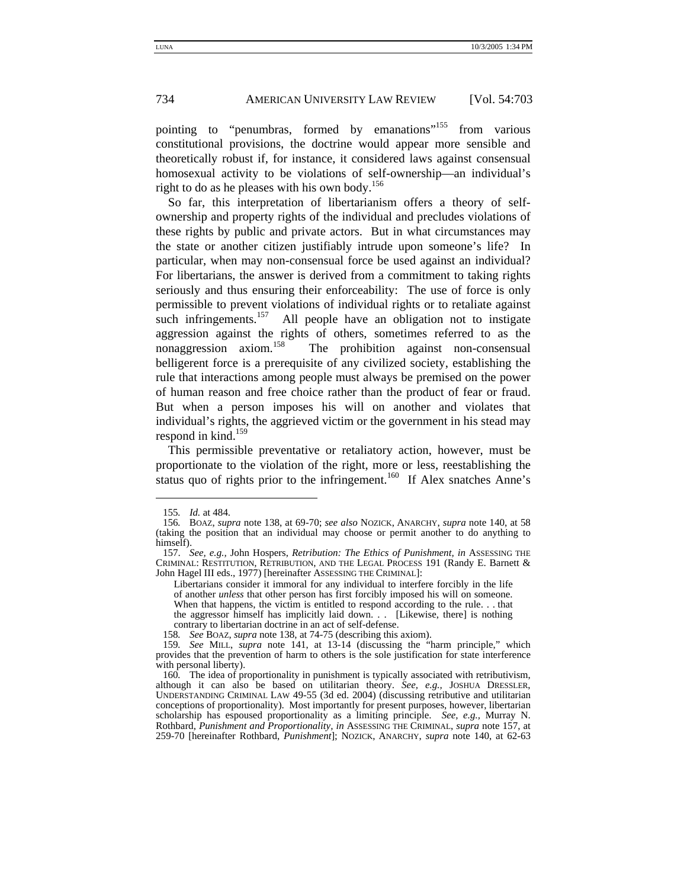pointing to "penumbras, formed by emanations"<sup>155</sup> from various constitutional provisions, the doctrine would appear more sensible and theoretically robust if, for instance, it considered laws against consensual homosexual activity to be violations of self-ownership—an individual's right to do as he pleases with his own body.<sup>156</sup>

So far, this interpretation of libertarianism offers a theory of selfownership and property rights of the individual and precludes violations of these rights by public and private actors. But in what circumstances may the state or another citizen justifiably intrude upon someone's life? In particular, when may non-consensual force be used against an individual? For libertarians, the answer is derived from a commitment to taking rights seriously and thus ensuring their enforceability: The use of force is only permissible to prevent violations of individual rights or to retaliate against such infringements.<sup>157</sup> All people have an obligation not to instigate aggression against the rights of others, sometimes referred to as the nonaggression axiom.<sup>158</sup> The prohibition against non-consensual belligerent force is a prerequisite of any civilized society, establishing the rule that interactions among people must always be premised on the power of human reason and free choice rather than the product of fear or fraud. But when a person imposes his will on another and violates that individual's rights, the aggrieved victim or the government in his stead may respond in kind.<sup>159</sup>

This permissible preventative or retaliatory action, however, must be proportionate to the violation of the right, more or less, reestablishing the status quo of rights prior to the infringement.<sup>160</sup> If Alex snatches Anne's

<sup>155</sup>*. Id.* at 484.

<sup>156</sup>*.* BOAZ, *supra* note 138, at 69-70; *see also* NOZICK, ANARCHY, *supra* note 140, at 58 (taking the position that an individual may choose or permit another to do anything to himself).

 <sup>157.</sup> *See, e.g.,* John Hospers, *Retribution: The Ethics of Punishment, in* ASSESSING THE CRIMINAL: RESTITUTION, RETRIBUTION, AND THE LEGAL PROCESS 191 (Randy E. Barnett & John Hagel III eds., 1977) [hereinafter ASSESSING THE CRIMINAL]:

Libertarians consider it immoral for any individual to interfere forcibly in the life of another *unless* that other person has first forcibly imposed his will on someone. When that happens, the victim is entitled to respond according to the rule. . . that the aggressor himself has implicitly laid down. . . [Likewise, there] is nothing

contrary to libertarian doctrine in an act of self-defense.

<sup>158</sup>*. See* BOAZ, *supra* note 138, at 74-75 (describing this axiom).

<sup>159</sup>*. See* MILL, *supra* note 141, at 13-14 (discussing the "harm principle," which provides that the prevention of harm to others is the sole justification for state interference with personal liberty).

<sup>160</sup>*.* The idea of proportionality in punishment is typically associated with retributivism, although it can also be based on utilitarian theory. *See, e.g., JOSHUA DRESSLER*, UNDERSTANDING CRIMINAL LAW 49-55 (3d ed. 2004) (discussing retributive and utilitarian conceptions of proportionality). Most importantly for present purposes, however, libertarian scholarship has espoused proportionality as a limiting principle. *See, e.g.,* Murray N. Rothbard, *Punishment and Proportionality, in* ASSESSING THE CRIMINAL, *supra* note 157, at 259-70 [hereinafter Rothbard, *Punishment*]; NOZICK, ANARCHY, *supra* note 140, at 62-63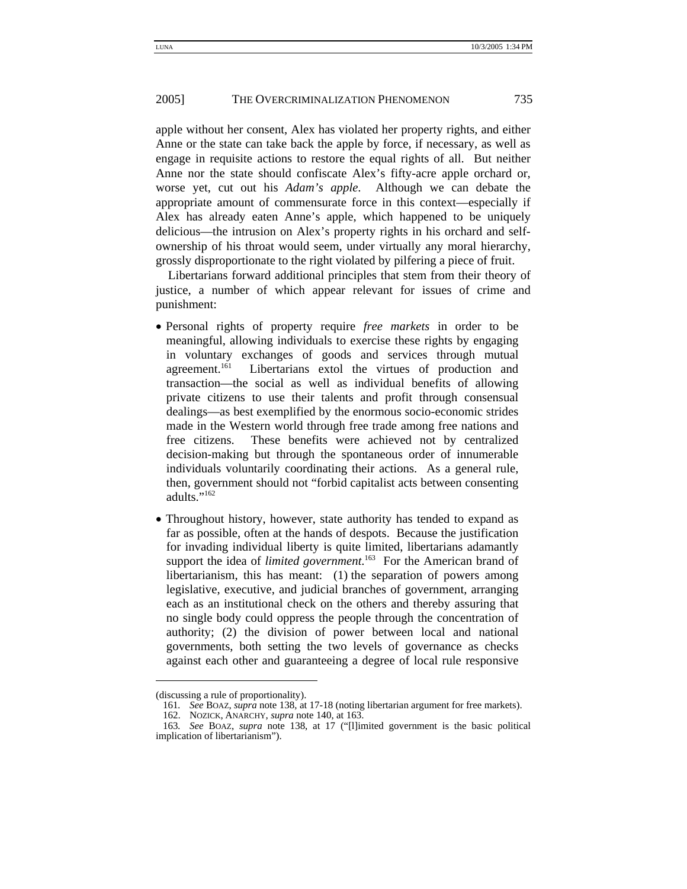apple without her consent, Alex has violated her property rights, and either Anne or the state can take back the apple by force, if necessary, as well as engage in requisite actions to restore the equal rights of all. But neither Anne nor the state should confiscate Alex's fifty-acre apple orchard or, worse yet, cut out his *Adam's apple*. Although we can debate the appropriate amount of commensurate force in this context—especially if Alex has already eaten Anne's apple, which happened to be uniquely delicious—the intrusion on Alex's property rights in his orchard and selfownership of his throat would seem, under virtually any moral hierarchy, grossly disproportionate to the right violated by pilfering a piece of fruit.

Libertarians forward additional principles that stem from their theory of justice, a number of which appear relevant for issues of crime and punishment:

- Personal rights of property require *free markets* in order to be meaningful, allowing individuals to exercise these rights by engaging in voluntary exchanges of goods and services through mutual agreement.<sup>161</sup> Libertarians extol the virtues of production and transaction—the social as well as individual benefits of allowing private citizens to use their talents and profit through consensual dealings—as best exemplified by the enormous socio-economic strides made in the Western world through free trade among free nations and free citizens. These benefits were achieved not by centralized decision-making but through the spontaneous order of innumerable individuals voluntarily coordinating their actions. As a general rule, then, government should not "forbid capitalist acts between consenting adults."<sup>162</sup>
- Throughout history, however, state authority has tended to expand as far as possible, often at the hands of despots. Because the justification for invading individual liberty is quite limited, libertarians adamantly support the idea of *limited government*. 163 For the American brand of libertarianism, this has meant: (1) the separation of powers among legislative, executive, and judicial branches of government, arranging each as an institutional check on the others and thereby assuring that no single body could oppress the people through the concentration of authority; (2) the division of power between local and national governments, both setting the two levels of governance as checks against each other and guaranteeing a degree of local rule responsive

<sup>(</sup>discussing a rule of proportionality).

<sup>161</sup>*. See* BOAZ, *supra* note 138, at 17-18 (noting libertarian argument for free markets).

 <sup>162.</sup> NOZICK, ANARCHY, *supra* note 140, at 163.

<sup>163</sup>*. See* BOAZ, *supra* note 138, at 17 ("[l]imited government is the basic political implication of libertarianism").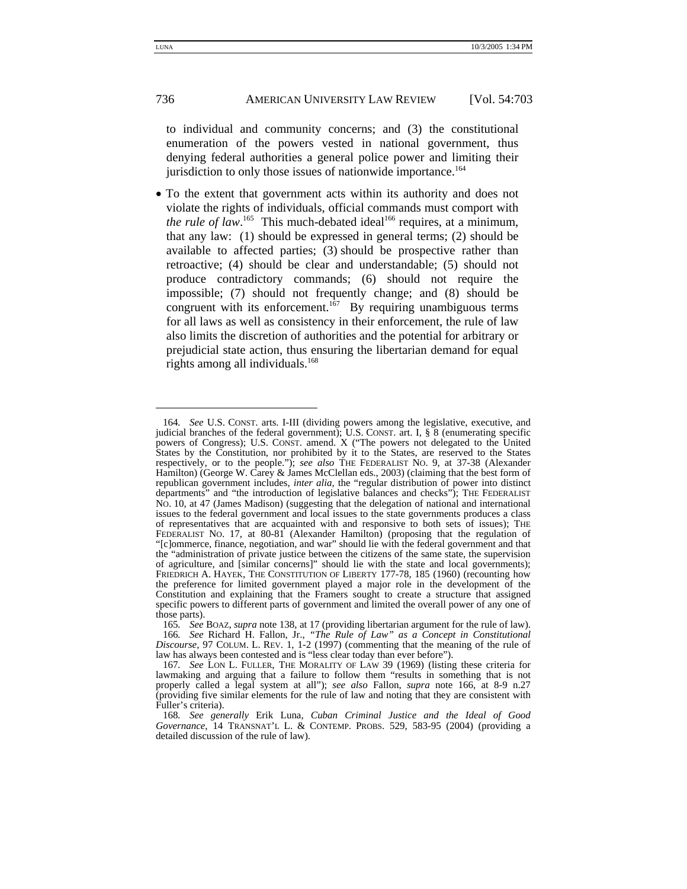to individual and community concerns; and (3) the constitutional enumeration of the powers vested in national government, thus denying federal authorities a general police power and limiting their jurisdiction to only those issues of nationwide importance.<sup>164</sup>

• To the extent that government acts within its authority and does not violate the rights of individuals, official commands must comport with *the rule of law*.<sup>165</sup> This much-debated ideal<sup>166</sup> requires, at a minimum, that any law: (1) should be expressed in general terms; (2) should be available to affected parties; (3) should be prospective rather than retroactive; (4) should be clear and understandable; (5) should not produce contradictory commands; (6) should not require the impossible; (7) should not frequently change; and (8) should be congruent with its enforcement.<sup>167</sup> By requiring unambiguous terms for all laws as well as consistency in their enforcement, the rule of law also limits the discretion of authorities and the potential for arbitrary or prejudicial state action, thus ensuring the libertarian demand for equal rights among all individuals.168

<sup>164</sup>*. See* U.S. CONST. arts. I-III (dividing powers among the legislative, executive, and judicial branches of the federal government); U.S. CONST. art. I, § 8 (enumerating specific powers of Congress); U.S. CONST. amend. X ("The powers not delegated to the United States by the Constitution, nor prohibited by it to the States, are reserved to the States respectively, or to the people."); *see also* THE FEDERALIST No. 9, at 37-38 (Alexander Hamilton) (George W. Carey & James McClellan eds., 2003) (claiming that the best form of republican government includes, *inter alia*, the "regular distribution of power into distinct departments" and "the introduction of legislative balances and checks"); THE FEDERALIST NO. 10, at 47 (James Madison) (suggesting that the delegation of national and international issues to the federal government and local issues to the state governments produces a class of representatives that are acquainted with and responsive to both sets of issues); THE FEDERALIST NO. 17, at 80-81 (Alexander Hamilton) (proposing that the regulation of "[c]ommerce, finance, negotiation, and war" should lie with the federal government and that the "administration of private justice between the citizens of the same state, the supervision of agriculture, and [similar concerns]" should lie with the state and local governments); FRIEDRICH A. HAYEK, THE CONSTITUTION OF LIBERTY 177-78, 185 (1960) (recounting how the preference for limited government played a major role in the development of the Constitution and explaining that the Framers sought to create a structure that assigned specific powers to different parts of government and limited the overall power of any one of those parts).

<sup>165</sup>*. See* BOAZ, *supra* note 138, at 17 (providing libertarian argument for the rule of law). 166*. See* Richard H. Fallon, Jr., *"The Rule of Law" as a Concept in Constitutional Discourse*, 97 COLUM. L. REV. 1, 1-2 (1997) (commenting that the meaning of the rule of law has always been contested and is "less clear today than ever before").

<sup>167</sup>*. See* LON L. FULLER, THE MORALITY OF LAW 39 (1969) (listing these criteria for lawmaking and arguing that a failure to follow them "results in something that is not properly called a legal system at all"); *see also* Fallon, *supra* note 166, at 8-9 n.27 (providing five similar elements for the rule of law and noting that they are consistent with Fuller's criteria).

<sup>168</sup>*. See generally* Erik Luna, *Cuban Criminal Justice and the Ideal of Good Governance*, 14 TRANSNAT'L L. & CONTEMP. PROBS. 529, 583-95 (2004) (providing a detailed discussion of the rule of law).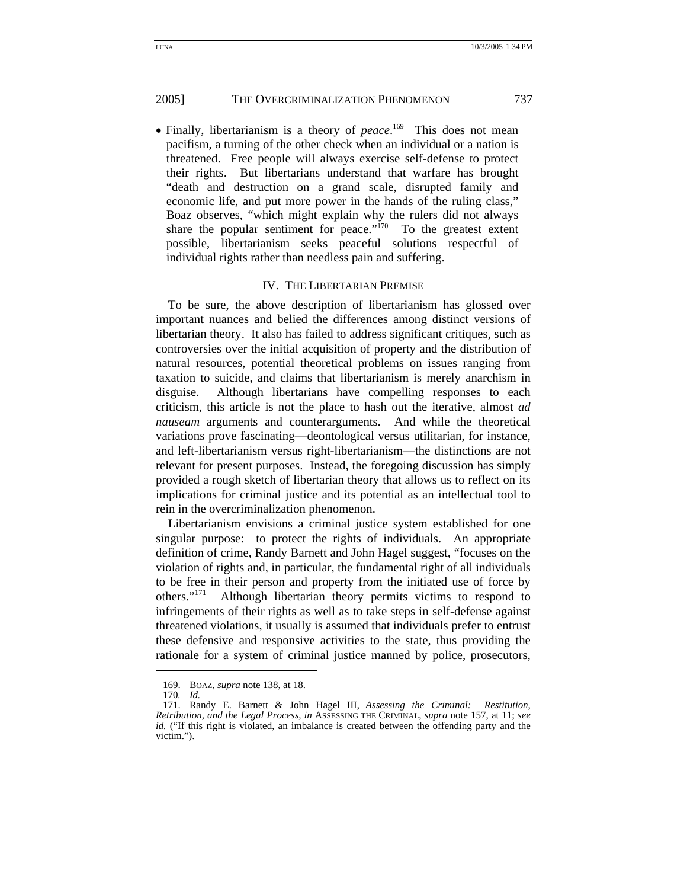• Finally, libertarianism is a theory of *peace*. 169 This does not mean pacifism, a turning of the other check when an individual or a nation is threatened. Free people will always exercise self-defense to protect their rights. But libertarians understand that warfare has brought "death and destruction on a grand scale, disrupted family and economic life, and put more power in the hands of the ruling class," Boaz observes, "which might explain why the rulers did not always share the popular sentiment for peace." $170$  To the greatest extent possible, libertarianism seeks peaceful solutions respectful of individual rights rather than needless pain and suffering.

#### IV. THE LIBERTARIAN PREMISE

To be sure, the above description of libertarianism has glossed over important nuances and belied the differences among distinct versions of libertarian theory. It also has failed to address significant critiques, such as controversies over the initial acquisition of property and the distribution of natural resources, potential theoretical problems on issues ranging from taxation to suicide, and claims that libertarianism is merely anarchism in disguise. Although libertarians have compelling responses to each criticism, this article is not the place to hash out the iterative, almost *ad nauseam* arguments and counterarguments. And while the theoretical variations prove fascinating—deontological versus utilitarian, for instance, and left-libertarianism versus right-libertarianism—the distinctions are not relevant for present purposes. Instead, the foregoing discussion has simply provided a rough sketch of libertarian theory that allows us to reflect on its implications for criminal justice and its potential as an intellectual tool to rein in the overcriminalization phenomenon.

Libertarianism envisions a criminal justice system established for one singular purpose: to protect the rights of individuals. An appropriate definition of crime, Randy Barnett and John Hagel suggest, "focuses on the violation of rights and, in particular, the fundamental right of all individuals to be free in their person and property from the initiated use of force by others." $171$  Although libertarian theory permits victims to respond to Although libertarian theory permits victims to respond to infringements of their rights as well as to take steps in self-defense against threatened violations, it usually is assumed that individuals prefer to entrust these defensive and responsive activities to the state, thus providing the rationale for a system of criminal justice manned by police, prosecutors,

 <sup>169.</sup> BOAZ, *supra* note 138, at 18.

<sup>170</sup>*. Id.*

 <sup>171.</sup> Randy E. Barnett & John Hagel III, *Assessing the Criminal: Restitution, Retribution, and the Legal Process, in* ASSESSING THE CRIMINAL, *supra* note 157, at 11; *see id.* ("If this right is violated, an imbalance is created between the offending party and the victim.").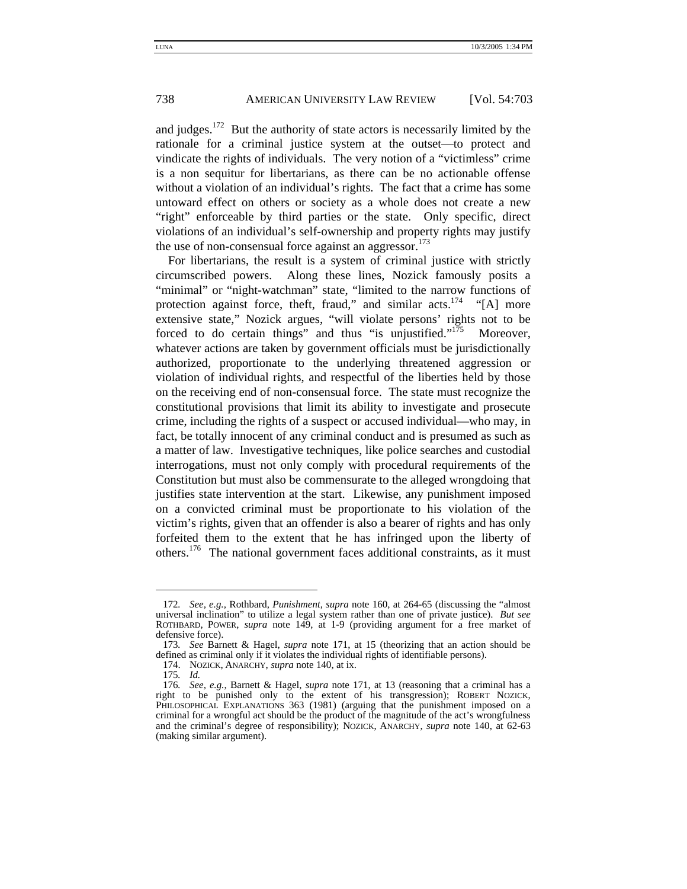and judges.<sup>172</sup> But the authority of state actors is necessarily limited by the rationale for a criminal justice system at the outset—to protect and vindicate the rights of individuals. The very notion of a "victimless" crime is a non sequitur for libertarians, as there can be no actionable offense without a violation of an individual's rights. The fact that a crime has some untoward effect on others or society as a whole does not create a new "right" enforceable by third parties or the state. Only specific, direct violations of an individual's self-ownership and property rights may justify the use of non-consensual force against an aggressor.<sup>173</sup>

For libertarians, the result is a system of criminal justice with strictly circumscribed powers. Along these lines, Nozick famously posits a "minimal" or "night-watchman" state, "limited to the narrow functions of protection against force, theft, fraud," and similar  $acts.<sup>174</sup>$  "[A] more extensive state," Nozick argues, "will violate persons' rights not to be forced to do certain things" and thus "is unjustified."<sup>175</sup> Moreover, whatever actions are taken by government officials must be jurisdictionally authorized, proportionate to the underlying threatened aggression or violation of individual rights, and respectful of the liberties held by those on the receiving end of non-consensual force. The state must recognize the constitutional provisions that limit its ability to investigate and prosecute crime, including the rights of a suspect or accused individual—who may, in fact, be totally innocent of any criminal conduct and is presumed as such as a matter of law. Investigative techniques, like police searches and custodial interrogations, must not only comply with procedural requirements of the Constitution but must also be commensurate to the alleged wrongdoing that justifies state intervention at the start. Likewise, any punishment imposed on a convicted criminal must be proportionate to his violation of the victim's rights, given that an offender is also a bearer of rights and has only forfeited them to the extent that he has infringed upon the liberty of others.<sup>176</sup> The national government faces additional constraints, as it must

<sup>172</sup>*. See, e.g.,* Rothbard, *Punishment*, *supra* note 160, at 264-65 (discussing the "almost universal inclination" to utilize a legal system rather than one of private justice). *But see* ROTHBARD, POWER, *supra* note 149, at 1-9 (providing argument for a free market of defensive force).

<sup>173</sup>*. See* Barnett & Hagel, *supra* note 171, at 15 (theorizing that an action should be defined as criminal only if it violates the individual rights of identifiable persons).

 <sup>174.</sup> NOZICK, ANARCHY, *supra* note 140, at ix.

<sup>175</sup>*. Id.*

<sup>176</sup>*. See, e.g.*, Barnett & Hagel, *supra* note 171, at 13 (reasoning that a criminal has a right to be punished only to the extent of his transgression); ROBERT NOZICK, PHILOSOPHICAL EXPLANATIONS 363 (1981) (arguing that the punishment imposed on a criminal for a wrongful act should be the product of the magnitude of the act's wrongfulness and the criminal's degree of responsibility); NOZICK, ANARCHY, *supra* note 140, at 62-63 (making similar argument).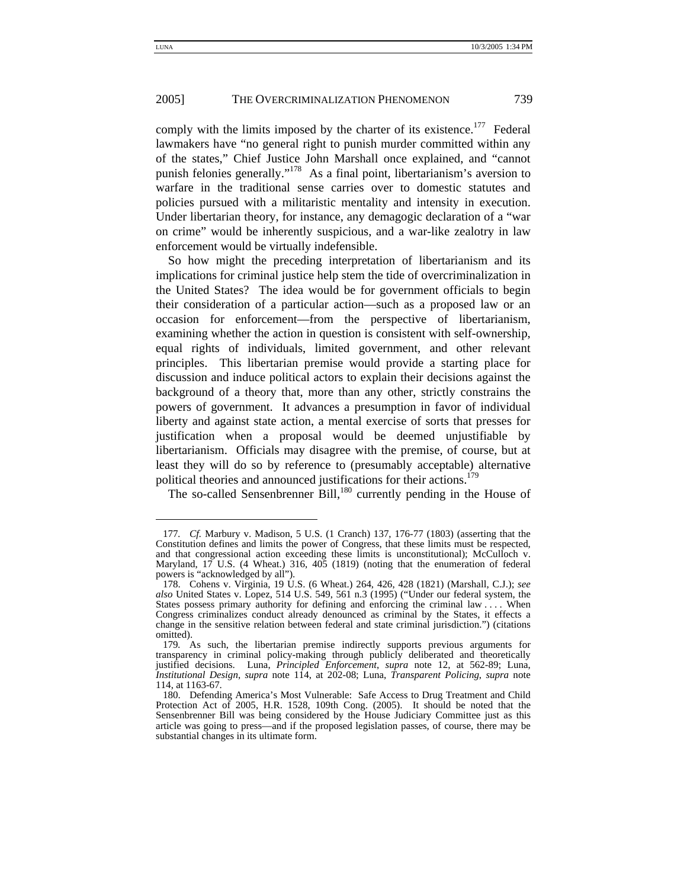comply with the limits imposed by the charter of its existence.<sup>177</sup> Federal lawmakers have "no general right to punish murder committed within any of the states," Chief Justice John Marshall once explained, and "cannot punish felonies generally."178 As a final point, libertarianism's aversion to warfare in the traditional sense carries over to domestic statutes and policies pursued with a militaristic mentality and intensity in execution. Under libertarian theory, for instance, any demagogic declaration of a "war on crime" would be inherently suspicious, and a war-like zealotry in law enforcement would be virtually indefensible.

So how might the preceding interpretation of libertarianism and its implications for criminal justice help stem the tide of overcriminalization in the United States? The idea would be for government officials to begin their consideration of a particular action—such as a proposed law or an occasion for enforcement—from the perspective of libertarianism, examining whether the action in question is consistent with self-ownership, equal rights of individuals, limited government, and other relevant principles. This libertarian premise would provide a starting place for discussion and induce political actors to explain their decisions against the background of a theory that, more than any other, strictly constrains the powers of government. It advances a presumption in favor of individual liberty and against state action, a mental exercise of sorts that presses for justification when a proposal would be deemed unjustifiable by libertarianism. Officials may disagree with the premise, of course, but at least they will do so by reference to (presumably acceptable) alternative political theories and announced justifications for their actions.<sup>179</sup>

The so-called Sensenbrenner Bill,<sup>180</sup> currently pending in the House of

<sup>177</sup>*. Cf.* Marbury v. Madison, 5 U.S. (1 Cranch) 137, 176-77 (1803) (asserting that the Constitution defines and limits the power of Congress, that these limits must be respected, and that congressional action exceeding these limits is unconstitutional); McCulloch v. Maryland, 17 U.S. (4 Wheat.) 316, 405 (1819) (noting that the enumeration of federal powers is "acknowledged by all").

 <sup>178.</sup> Cohens v. Virginia, 19 U.S. (6 Wheat.) 264, 426, 428 (1821) (Marshall, C.J.); *see also* United States v. Lopez, 514 U.S. 549, 561 n.3 (1995) ("Under our federal system, the States possess primary authority for defining and enforcing the criminal law . . . . When Congress criminalizes conduct already denounced as criminal by the States, it effects a change in the sensitive relation between federal and state criminal jurisdiction.") (citations omitted).

<sup>179</sup>*.* As such, the libertarian premise indirectly supports previous arguments for transparency in criminal policy-making through publicly deliberated and theoretically justified decisions. Luna, *Principled Enforcement*, *supra* note 12, at 562-89; Luna, *Institutional Design*, *supra* note 114, at 202-08; Luna, *Transparent Policing*, *supra* note 114, at 1163-67.

 <sup>180.</sup> Defending America's Most Vulnerable: Safe Access to Drug Treatment and Child Protection Act of 2005, H.R. 1528, 109th Cong. (2005). It should be noted that the Sensenbrenner Bill was being considered by the House Judiciary Committee just as this article was going to press—and if the proposed legislation passes, of course, there may be substantial changes in its ultimate form.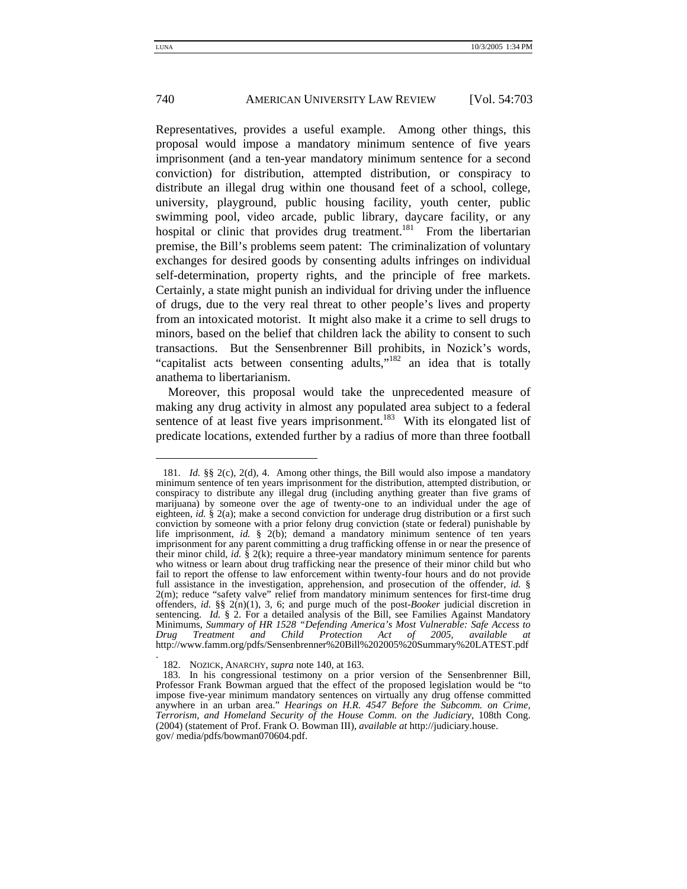Representatives, provides a useful example. Among other things, this proposal would impose a mandatory minimum sentence of five years imprisonment (and a ten-year mandatory minimum sentence for a second conviction) for distribution, attempted distribution, or conspiracy to distribute an illegal drug within one thousand feet of a school, college, university, playground, public housing facility, youth center, public swimming pool, video arcade, public library, daycare facility, or any hospital or clinic that provides drug treatment.<sup>181</sup> From the libertarian premise, the Bill's problems seem patent: The criminalization of voluntary exchanges for desired goods by consenting adults infringes on individual self-determination, property rights, and the principle of free markets. Certainly, a state might punish an individual for driving under the influence of drugs, due to the very real threat to other people's lives and property from an intoxicated motorist. It might also make it a crime to sell drugs to minors, based on the belief that children lack the ability to consent to such transactions. But the Sensenbrenner Bill prohibits, in Nozick's words, "capitalist acts between consenting adults,"<sup>182</sup> an idea that is totally anathema to libertarianism.

Moreover, this proposal would take the unprecedented measure of making any drug activity in almost any populated area subject to a federal sentence of at least five years imprisonment.<sup>183</sup> With its elongated list of predicate locations, extended further by a radius of more than three football

-

.

 <sup>181.</sup> *Id.* §§ 2(c), 2(d), 4. Among other things, the Bill would also impose a mandatory minimum sentence of ten years imprisonment for the distribution, attempted distribution, or conspiracy to distribute any illegal drug (including anything greater than five grams of marijuana) by someone over the age of twenty-one to an individual under the age of eighteen, *id.* § 2(a); make a second conviction for underage drug distribution or a first such conviction by someone with a prior felony drug conviction (state or federal) punishable by life imprisonment, *id.* § 2(b); demand a mandatory minimum sentence of ten years imprisonment for any parent committing a drug trafficking offense in or near the presence of their minor child, *id.*  $\hat{\S}$  2(k); require a three-year mandatory minimum sentence for parents who witness or learn about drug trafficking near the presence of their minor child but who fail to report the offense to law enforcement within twenty-four hours and do not provide full assistance in the investigation, apprehension, and prosecution of the offender, *id.* § 2(m); reduce "safety valve" relief from mandatory minimum sentences for first-time drug offenders, *id.* §§ 2(n)(1), 3, 6; and purge much of the post-*Booker* judicial discretion in sentencing. *Id.* § 2. For a detailed analysis of the Bill, see Families Against Mandatory Minimums, *Summary of HR 1528 "Defending America's Most Vulnerable: Safe Access to Drug Treatment and Child Protection Act of 2005, available at* Drug Treatment and Child Protection Act of 2005, available at<br>http://www.famm.org/pdfs/Sensenbrenner%20Bill%202005%20Summary%20LATEST.pdf

 <sup>182.</sup> NOZICK, ANARCHY, *supra* note 140, at 163.

 <sup>183.</sup> In his congressional testimony on a prior version of the Sensenbrenner Bill, Professor Frank Bowman argued that the effect of the proposed legislation would be "to impose five-year minimum mandatory sentences on virtually any drug offense committed anywhere in an urban area." *Hearings on H.R. 4547 Before the Subcomm. on Crime, Terrorism, and Homeland Security of the House Comm. on the Judiciary*, 108th Cong. (2004) (statement of Prof. Frank O. Bowman III), *available at* http://judiciary.house. gov/ media/pdfs/bowman070604.pdf.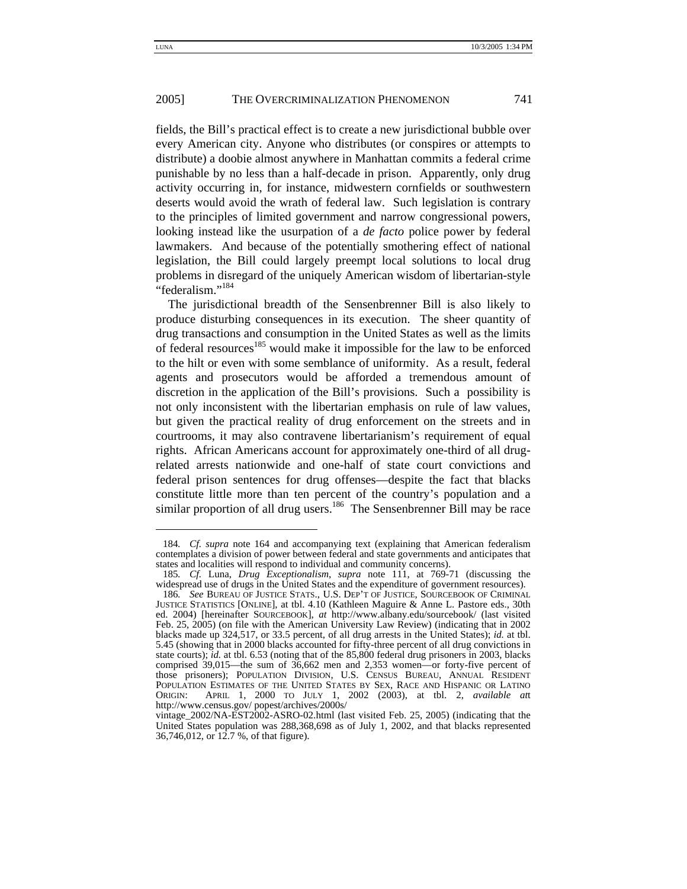fields, the Bill's practical effect is to create a new jurisdictional bubble over every American city. Anyone who distributes (or conspires or attempts to distribute) a doobie almost anywhere in Manhattan commits a federal crime punishable by no less than a half-decade in prison. Apparently, only drug activity occurring in, for instance, midwestern cornfields or southwestern deserts would avoid the wrath of federal law. Such legislation is contrary to the principles of limited government and narrow congressional powers, looking instead like the usurpation of a *de facto* police power by federal lawmakers. And because of the potentially smothering effect of national legislation, the Bill could largely preempt local solutions to local drug problems in disregard of the uniquely American wisdom of libertarian-style "federalism."<sup>184</sup>

The jurisdictional breadth of the Sensenbrenner Bill is also likely to produce disturbing consequences in its execution. The sheer quantity of drug transactions and consumption in the United States as well as the limits of federal resources<sup>185</sup> would make it impossible for the law to be enforced to the hilt or even with some semblance of uniformity. As a result, federal agents and prosecutors would be afforded a tremendous amount of discretion in the application of the Bill's provisions. Such a possibility is not only inconsistent with the libertarian emphasis on rule of law values, but given the practical reality of drug enforcement on the streets and in courtrooms, it may also contravene libertarianism's requirement of equal rights. African Americans account for approximately one-third of all drugrelated arrests nationwide and one-half of state court convictions and federal prison sentences for drug offenses—despite the fact that blacks constitute little more than ten percent of the country's population and a similar proportion of all drug users.<sup>186</sup> The Sensenbrenner Bill may be race

<sup>184</sup>*. Cf. supra* note 164 and accompanying text (explaining that American federalism contemplates a division of power between federal and state governments and anticipates that states and localities will respond to individual and community concerns).

<sup>185</sup>*. Cf.* Luna, *Drug Exceptionalism*, *supra* note 111, at 769-71 (discussing the widespread use of drugs in the United States and the expenditure of government resources).

<sup>186</sup>*. See* BUREAU OF JUSTICE STATS., U.S. DEP'T OF JUSTICE, SOURCEBOOK OF CRIMINAL JUSTICE STATISTICS [ONLINE], at tbl. 4.10 (Kathleen Maguire & Anne L. Pastore eds., 30th ed. 2004) [hereinafter SOURCEBOOK], *at* http://www.albany.edu/sourcebook/ (last visited Feb. 25, 2005) (on file with the American University Law Review) (indicating that in 2002 blacks made up 324,517, or 33.5 percent, of all drug arrests in the United States); *id.* at tbl. 5.45 (showing that in 2000 blacks accounted for fifty-three percent of all drug convictions in state courts); *id.* at tbl. 6.53 (noting that of the 85,800 federal drug prisoners in 2003, blacks comprised 39,015—the sum of 36,662 men and 2,353 women—or forty-five percent of those prisoners); POPULATION DIVISION, U.S. CENSUS BUREAU, ANNUAL RESIDENT POPULATION ESTIMATES OF THE UNITED STATES BY SEX, RACE AND HISPANIC OR LATINO ORIGIN: APRIL 1, 2000 TO JULY 1, 2002 (2003), at tbl. 2, *available at*t http://www.census.gov/ popest/archives/2000s/

vintage\_2002/NA-EST2002-ASRO-02.html (last visited Feb. 25, 2005) (indicating that the United States population was 288,368,698 as of July 1, 2002, and that blacks represented 36,746,012, or 12.7 %, of that figure).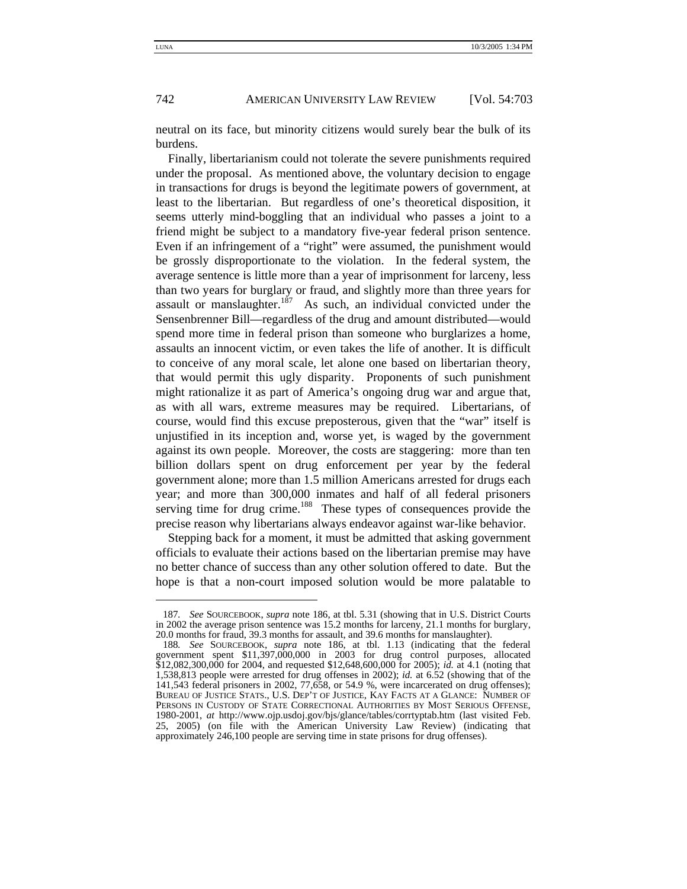neutral on its face, but minority citizens would surely bear the bulk of its burdens.

Finally, libertarianism could not tolerate the severe punishments required under the proposal. As mentioned above, the voluntary decision to engage in transactions for drugs is beyond the legitimate powers of government, at least to the libertarian. But regardless of one's theoretical disposition, it seems utterly mind-boggling that an individual who passes a joint to a friend might be subject to a mandatory five-year federal prison sentence. Even if an infringement of a "right" were assumed, the punishment would be grossly disproportionate to the violation. In the federal system, the average sentence is little more than a year of imprisonment for larceny, less than two years for burglary or fraud, and slightly more than three years for assault or manslaughter.<sup>187</sup> As such, an individual convicted under the Sensenbrenner Bill—regardless of the drug and amount distributed—would spend more time in federal prison than someone who burglarizes a home, assaults an innocent victim, or even takes the life of another. It is difficult to conceive of any moral scale, let alone one based on libertarian theory, that would permit this ugly disparity. Proponents of such punishment might rationalize it as part of America's ongoing drug war and argue that, as with all wars, extreme measures may be required. Libertarians, of course, would find this excuse preposterous, given that the "war" itself is unjustified in its inception and, worse yet, is waged by the government against its own people. Moreover, the costs are staggering: more than ten billion dollars spent on drug enforcement per year by the federal government alone; more than 1.5 million Americans arrested for drugs each year; and more than 300,000 inmates and half of all federal prisoners serving time for drug crime.<sup>188</sup> These types of consequences provide the precise reason why libertarians always endeavor against war-like behavior.

Stepping back for a moment, it must be admitted that asking government officials to evaluate their actions based on the libertarian premise may have no better chance of success than any other solution offered to date. But the hope is that a non-court imposed solution would be more palatable to

<sup>187</sup>*. See* SOURCEBOOK, *supra* note 186, at tbl. 5.31 (showing that in U.S. District Courts in 2002 the average prison sentence was 15.2 months for larceny, 21.1 months for burglary, 20.0 months for fraud, 39.3 months for assault, and 39.6 months for manslaughter).

<sup>188</sup>*. See* SOURCEBOOK, *supra* note 186, at tbl. 1.13 (indicating that the federal government spent \$11,397,000,000 in 2003 for drug control purposes, allocated \$12,082,300,000 for 2004, and requested \$12,648,600,000 for 2005); *id.* at 4.1 (noting that 1,538,813 people were arrested for drug offenses in 2002); *id.* at 6.52 (showing that of the 141,543 federal prisoners in 2002, 77,658, or 54.9 %, were incarcerated on drug offenses); BUREAU OF JUSTICE STATS., U.S. DEP'T OF JUSTICE, KAY FACTS AT A GLANCE: NUMBER OF PERSONS IN CUSTODY OF STATE CORRECTIONAL AUTHORITIES BY MOST SERIOUS OFFENSE, 1980-2001, *at* http://www.ojp.usdoj.gov/bjs/glance/tables/corrtyptab.htm (last visited Feb. 25, 2005) (on file with the American University Law Review) (indicating that approximately 246,100 people are serving time in state prisons for drug offenses).